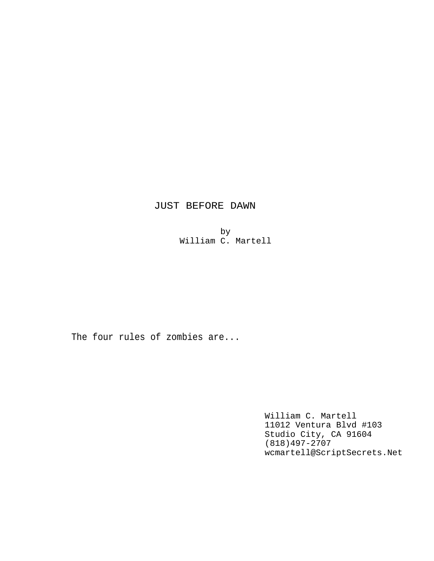# JUST BEFORE DAWN

by William C. Martell

The four rules of zombies are...

William C. Martell 11012 Ventura Blvd #103 Studio City, CA 91604 (818)497-2707 wcmartell@ScriptSecrets.Net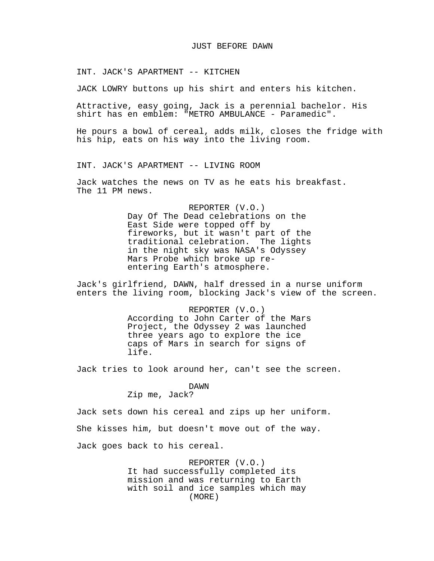#### JUST BEFORE DAWN

INT. JACK'S APARTMENT -- KITCHEN

JACK LOWRY buttons up his shirt and enters his kitchen.

Attractive, easy going, Jack is a perennial bachelor. His shirt has en emblem: "METRO AMBULANCE - Paramedic".

He pours a bowl of cereal, adds milk, closes the fridge with his hip, eats on his way into the living room.

INT. JACK'S APARTMENT -- LIVING ROOM

Jack watches the news on TV as he eats his breakfast. The 11 PM news.

> REPORTER (V.O.) Day Of The Dead celebrations on the East Side were topped off by fireworks, but it wasn't part of the traditional celebration. The lights in the night sky was NASA's Odyssey Mars Probe which broke up reentering Earth's atmosphere.

Jack's girlfriend, DAWN, half dressed in a nurse uniform enters the living room, blocking Jack's view of the screen.

> REPORTER (V.O.) According to John Carter of the Mars Project, the Odyssey 2 was launched three years ago to explore the ice caps of Mars in search for signs of life.

Jack tries to look around her, can't see the screen.

#### DAWN

Zip me, Jack?

Jack sets down his cereal and zips up her uniform.

She kisses him, but doesn't move out of the way.

Jack goes back to his cereal.

REPORTER (V.O.) It had successfully completed its mission and was returning to Earth with soil and ice samples which may (MORE)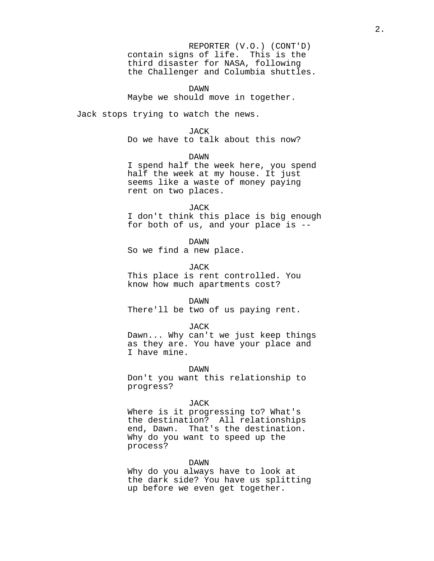REPORTER (V.O.) (CONT'D) contain signs of life. This is the third disaster for NASA, following the Challenger and Columbia shuttles.

DAWN Maybe we should move in together.

Jack stops trying to watch the news.

#### JACK

Do we have to talk about this now?

DAWN

I spend half the week here, you spend half the week at my house. It just seems like a waste of money paying rent on two places.

#### JACK

I don't think this place is big enough for both of us, and your place is --

DAWN

So we find a new place.

JACK

This place is rent controlled. You know how much apartments cost?

#### DAWN

There'll be two of us paying rent.

#### JACK

Dawn... Why can't we just keep things as they are. You have your place and I have mine.

#### DAWN

Don't you want this relationship to progress?

#### JACK

Where is it progressing to? What's the destination? All relationships end, Dawn. That's the destination. Why do you want to speed up the process?

#### DAWN

Why do you always have to look at the dark side? You have us splitting up before we even get together.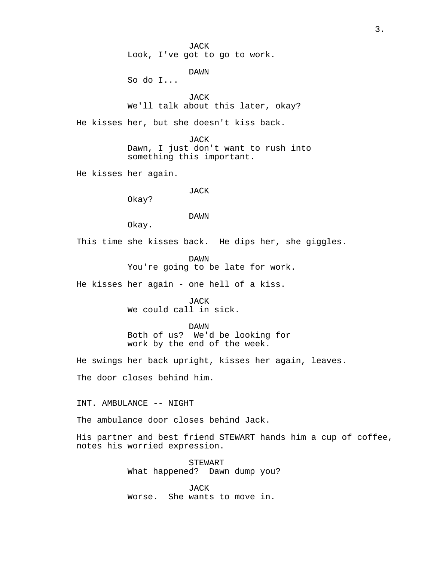JACK Look, I've got to go to work.

DAWN

So do I...

JACK We'll talk about this later, okay?

He kisses her, but she doesn't kiss back.

JACK Dawn, I just don't want to rush into something this important.

He kisses her again.

## JACK

Okay?

#### DAWN

Okay.

This time she kisses back. He dips her, she giggles.

DAWN You're going to be late for work.

He kisses her again - one hell of a kiss.

JACK We could call in sick.

DAWN

Both of us? We'd be looking for work by the end of the week.

He swings her back upright, kisses her again, leaves.

The door closes behind him.

INT. AMBULANCE -- NIGHT

The ambulance door closes behind Jack.

His partner and best friend STEWART hands him a cup of coffee, notes his worried expression.

> STEWART What happened? Dawn dump you?

JACK Worse. She wants to move in.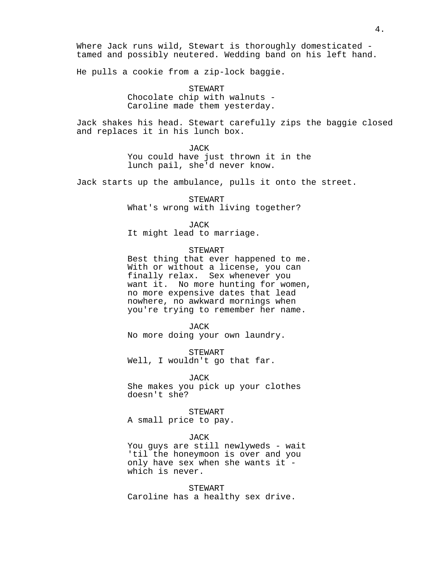Where Jack runs wild, Stewart is thoroughly domesticated tamed and possibly neutered. Wedding band on his left hand.

He pulls a cookie from a zip-lock baggie.

STEWART Chocolate chip with walnuts - Caroline made them yesterday.

Jack shakes his head. Stewart carefully zips the baggie closed and replaces it in his lunch box.

> JACK You could have just thrown it in the lunch pail, she'd never know.

Jack starts up the ambulance, pulls it onto the street.

STEWART What's wrong with living together?

JACK

It might lead to marriage.

## STEWART

Best thing that ever happened to me. With or without a license, you can finally relax. Sex whenever you want it. No more hunting for women, no more expensive dates that lead nowhere, no awkward mornings when you're trying to remember her name.

JACK

No more doing your own laundry.

STEWART Well, I wouldn't go that far.

#### JACK

She makes you pick up your clothes doesn't she?

STEWART A small price to pay.

JACK

You guys are still newlyweds - wait 'til the honeymoon is over and you only have sex when she wants it which is never.

STEWART Caroline has a healthy sex drive.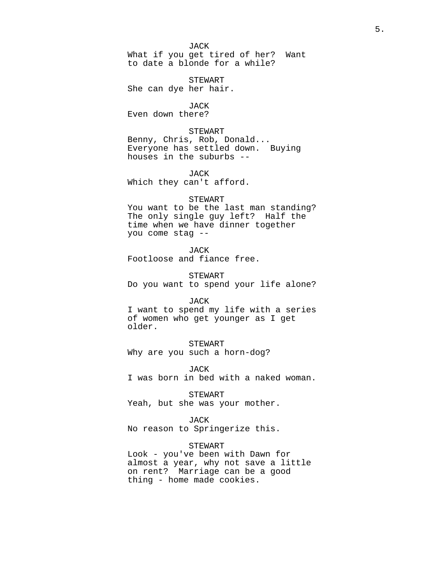JACK What if you get tired of her? Want to date a blonde for a while?

STEWART She can dye her hair.

JACK Even down there?

STEWART Benny, Chris, Rob, Donald... Everyone has settled down. Buying houses in the suburbs --

JACK Which they can't afford.

## STEWART

You want to be the last man standing? The only single guy left? Half the time when we have dinner together you come stag --

JACK Footloose and fiance free.

STEWART Do you want to spend your life alone?

#### JACK

I want to spend my life with a series of women who get younger as I get older.

STEWART Why are you such a horn-dog?

JACK I was born in bed with a naked woman.

STEWART

Yeah, but she was your mother.

#### JACK

No reason to Springerize this.

## STEWART

Look - you've been with Dawn for almost a year, why not save a little on rent? Marriage can be a good thing - home made cookies.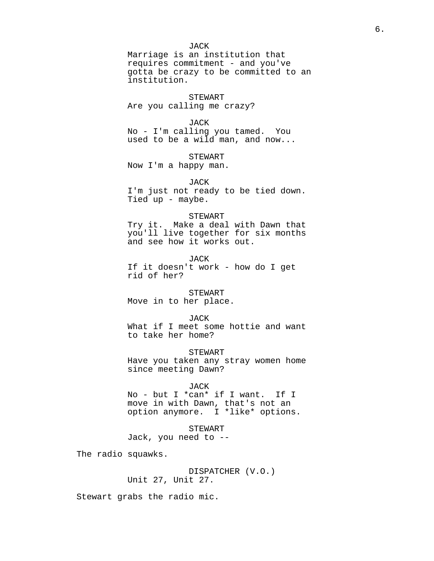JACK

Marriage is an institution that requires commitment - and you've gotta be crazy to be committed to an institution.

#### STEWART

Are you calling me crazy?

#### JACK

No - I'm calling you tamed. You used to be a wild man, and now...

STEWART

Now I'm a happy man.

JACK I'm just not ready to be tied down. Tied up - maybe.

#### STEWART

Try it. Make a deal with Dawn that you'll live together for six months and see how it works out.

JACK If it doesn't work - how do I get rid of her?

## STEWART

Move in to her place.

#### JACK

What if I meet some hottie and want to take her home?

STEWART

Have you taken any stray women home since meeting Dawn?

#### JACK

No - but I \*can\* if I want. If I move in with Dawn, that's not an option anymore. I \*like\* options.

STEWART

Jack, you need to --

The radio squawks.

DISPATCHER (V.O.) Unit 27, Unit 27.

Stewart grabs the radio mic.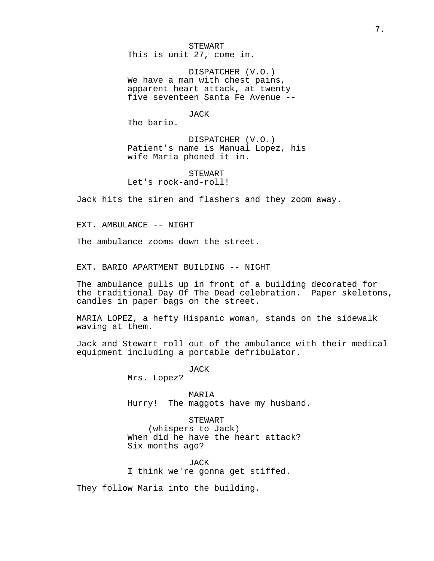STEWART This is unit 27, come in.

DISPATCHER (V.O.) We have a man with chest pains, apparent heart attack, at twenty five seventeen Santa Fe Avenue --

JACK

The bario.

DISPATCHER (V.O.) Patient's name is Manual Lopez, his wife Maria phoned it in.

STEWART Let's rock-and-roll!

Jack hits the siren and flashers and they zoom away.

EXT. AMBULANCE -- NIGHT

The ambulance zooms down the street.

EXT. BARIO APARTMENT BUILDING -- NIGHT

The ambulance pulls up in front of a building decorated for the traditional Day Of The Dead celebration. Paper skeletons, candles in paper bags on the street.

MARIA LOPEZ, a hefty Hispanic woman, stands on the sidewalk waving at them.

Jack and Stewart roll out of the ambulance with their medical equipment including a portable defribulator.

JACK

Mrs. Lopez?

MARIA Hurry! The maggots have my husband.

STEWART

(whispers to Jack) When did he have the heart attack? Six months ago?

JACK I think we're gonna get stiffed.

They follow Maria into the building.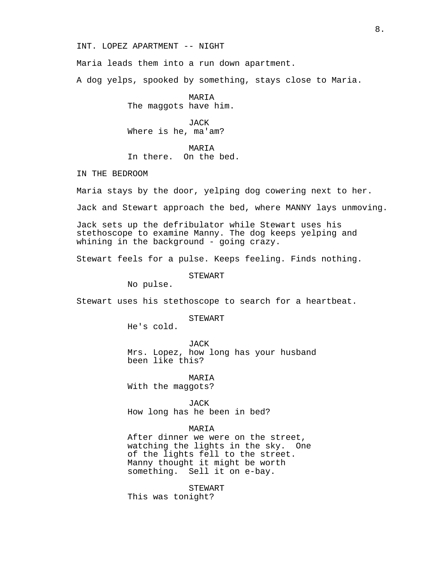INT. LOPEZ APARTMENT -- NIGHT

Maria leads them into a run down apartment.

A dog yelps, spooked by something, stays close to Maria.

MARIA The maggots have him.

JACK Where is he, ma'am?

#### MARIA

## In there. On the bed.

IN THE BEDROOM

Maria stays by the door, yelping dog cowering next to her.

Jack and Stewart approach the bed, where MANNY lays unmoving.

Jack sets up the defribulator while Stewart uses his stethoscope to examine Manny. The dog keeps yelping and whining in the background - going crazy.

Stewart feels for a pulse. Keeps feeling. Finds nothing.

STEWART

No pulse.

Stewart uses his stethoscope to search for a heartbeat.

STEWART

He's cold.

JACK Mrs. Lopez, how long has your husband been like this?

MARIA

With the maggots?

JACK

How long has he been in bed?

## MARIA

After dinner we were on the street, watching the lights in the sky. One of the lights fell to the street. Manny thought it might be worth something. Sell it on e-bay.

STEWART This was tonight?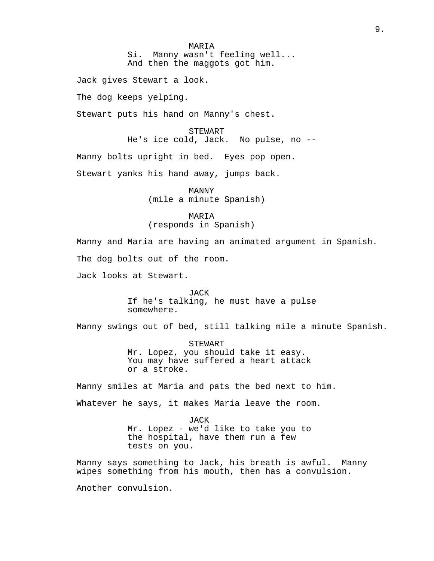MARIA Si. Manny wasn't feeling well... And then the maggots got him.

Jack gives Stewart a look.

The dog keeps yelping.

Stewart puts his hand on Manny's chest.

STEWART He's ice cold, Jack. No pulse, no --

Manny bolts upright in bed. Eyes pop open.

Stewart yanks his hand away, jumps back.

MANNY (mile a minute Spanish)

MARIA (responds in Spanish)

Manny and Maria are having an animated argument in Spanish. The dog bolts out of the room.

Jack looks at Stewart.

JACK If he's talking, he must have a pulse somewhere.

Manny swings out of bed, still talking mile a minute Spanish.

STEWART Mr. Lopez, you should take it easy. You may have suffered a heart attack or a stroke.

Manny smiles at Maria and pats the bed next to him.

Whatever he says, it makes Maria leave the room.

JACK Mr. Lopez - we'd like to take you to the hospital, have them run a few tests on you.

Manny says something to Jack, his breath is awful. Manny wipes something from his mouth, then has a convulsion.

Another convulsion.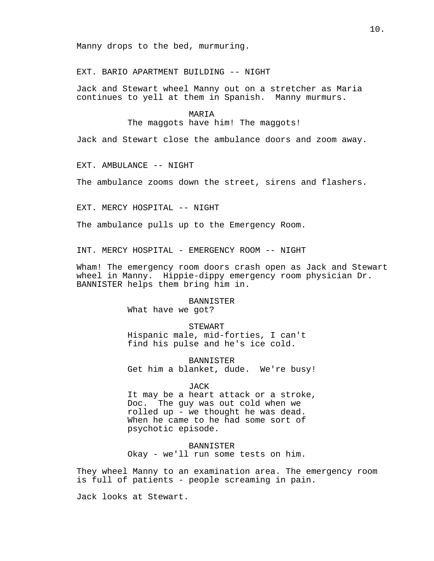Manny drops to the bed, murmuring.

EXT. BARIO APARTMENT BUILDING -- NIGHT

Jack and Stewart wheel Manny out on a stretcher as Maria continues to yell at them in Spanish. Manny murmurs.

### MARIA

The maggots have him! The maggots!

Jack and Stewart close the ambulance doors and zoom away.

EXT. AMBULANCE -- NIGHT

The ambulance zooms down the street, sirens and flashers.

EXT. MERCY HOSPITAL -- NIGHT

The ambulance pulls up to the Emergency Room.

INT. MERCY HOSPITAL - EMERGENCY ROOM -- NIGHT

Wham! The emergency room doors crash open as Jack and Stewart wheel in Manny. Hippie-dippy emergency room physician Dr. BANNISTER helps them bring him in.

#### BANNISTER

What have we got?

## STEWART

Hispanic male, mid-forties, I can't find his pulse and he's ice cold.

BANNISTER Get him a blanket, dude. We're busy!

#### JACK

It may be a heart attack or a stroke, Doc. The guy was out cold when we rolled up - we thought he was dead. When he came to he had some sort of psychotic episode.

BANNISTER Okay - we'll run some tests on him.

They wheel Manny to an examination area. The emergency room is full of patients - people screaming in pain.

Jack looks at Stewart.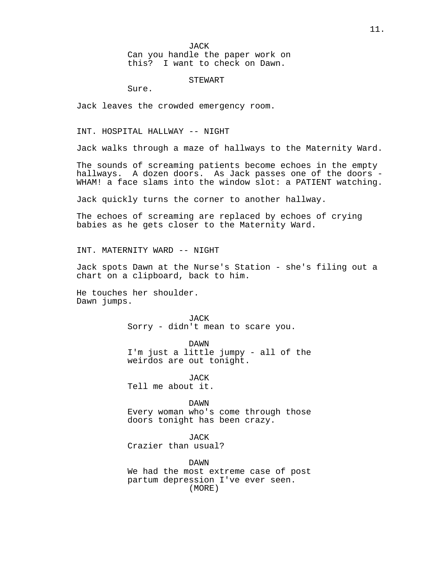JACK Can you handle the paper work on this? I want to check on Dawn.

#### STEWART

Sure.

Jack leaves the crowded emergency room.

INT. HOSPITAL HALLWAY -- NIGHT

Jack walks through a maze of hallways to the Maternity Ward.

The sounds of screaming patients become echoes in the empty hallways. A dozen doors. As Jack passes one of the doors - WHAM! a face slams into the window slot: a PATIENT watching.

Jack quickly turns the corner to another hallway.

The echoes of screaming are replaced by echoes of crying babies as he gets closer to the Maternity Ward.

INT. MATERNITY WARD -- NIGHT

Jack spots Dawn at the Nurse's Station - she's filing out a chart on a clipboard, back to him.

He touches her shoulder. Dawn jumps.

> JACK Sorry - didn't mean to scare you.

DAWN I'm just a little jumpy - all of the weirdos are out tonight.

JACK Tell me about it.

DAWN

Every woman who's come through those doors tonight has been crazy.

JACK

Crazier than usual?

DAWN We had the most extreme case of post partum depression I've ever seen. (MORE)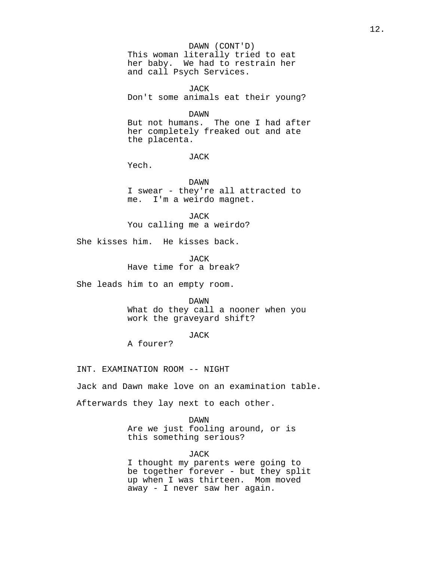#### DAWN (CONT'D)

This woman literally tried to eat her baby. We had to restrain her and call Psych Services.

JACK Don't some animals eat their young?

DAWN

But not humans. The one I had after her completely freaked out and ate the placenta.

JACK

Yech.

DAWN I swear - they're all attracted to me. I'm a weirdo magnet.

JACK You calling me a weirdo?

She kisses him. He kisses back.

JACK Have time for a break?

She leads him to an empty room.

DAWN

What do they call a nooner when you work the graveyard shift?

JACK

A fourer?

INT. EXAMINATION ROOM -- NIGHT

Jack and Dawn make love on an examination table.

Afterwards they lay next to each other.

DAWN

Are we just fooling around, or is this something serious?

JACK

I thought my parents were going to be together forever - but they split up when I was thirteen. Mom moved away - I never saw her again.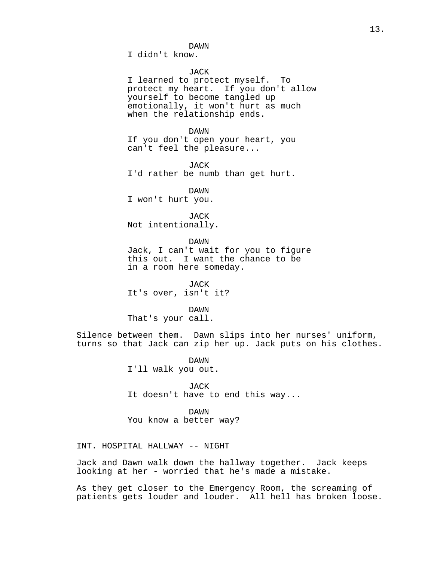I didn't know.

## JACK

I learned to protect myself. To protect my heart. If you don't allow yourself to become tangled up emotionally, it won't hurt as much when the relationship ends.

#### DAWN

If you don't open your heart, you can't feel the pleasure...

JACK I'd rather be numb than get hurt.

DAWN

I won't hurt you.

JACK Not intentionally.

DAWN

Jack, I can't wait for you to figure this out. I want the chance to be in a room here someday.

JACK It's over, isn't it?

DAWN That's your call.

Silence between them. Dawn slips into her nurses' uniform, turns so that Jack can zip her up. Jack puts on his clothes.

> DAWN I'll walk you out.

JACK It doesn't have to end this way...

DAWN You know a better way?

INT. HOSPITAL HALLWAY -- NIGHT

Jack and Dawn walk down the hallway together. Jack keeps looking at her - worried that he's made a mistake.

As they get closer to the Emergency Room, the screaming of patients gets louder and louder. All hell has broken loose.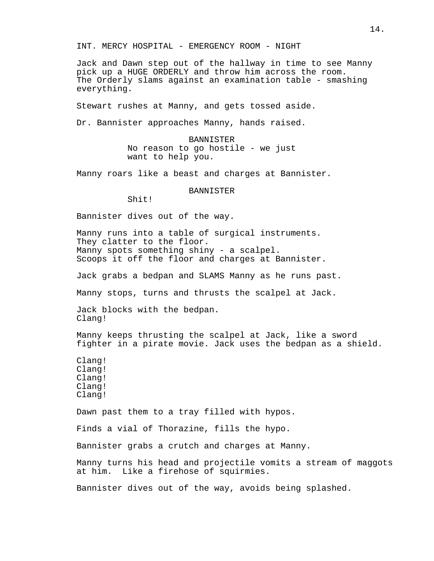INT. MERCY HOSPITAL - EMERGENCY ROOM - NIGHT

Jack and Dawn step out of the hallway in time to see Manny pick up a HUGE ORDERLY and throw him across the room. The Orderly slams against an examination table - smashing everything.

Stewart rushes at Manny, and gets tossed aside.

Dr. Bannister approaches Manny, hands raised.

BANNISTER No reason to go hostile - we just want to help you.

Manny roars like a beast and charges at Bannister.

BANNISTER

Shit!

Bannister dives out of the way.

Manny runs into a table of surgical instruments. They clatter to the floor. Manny spots something shiny - a scalpel. Scoops it off the floor and charges at Bannister.

Jack grabs a bedpan and SLAMS Manny as he runs past.

Manny stops, turns and thrusts the scalpel at Jack.

Jack blocks with the bedpan. Clang!

Manny keeps thrusting the scalpel at Jack, like a sword fighter in a pirate movie. Jack uses the bedpan as a shield.

Clang! Clang! Clang! Clang! Clang!

Dawn past them to a tray filled with hypos.

Finds a vial of Thorazine, fills the hypo.

Bannister grabs a crutch and charges at Manny.

Manny turns his head and projectile vomits a stream of maggots at him. Like a firehose of squirmies.

Bannister dives out of the way, avoids being splashed.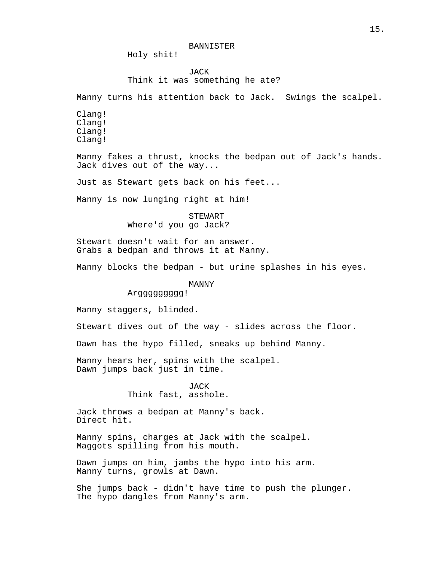Holy shit!

## JACK Think it was something he ate?

Manny turns his attention back to Jack. Swings the scalpel.

Clang! Clang! Clang! Clang!

Manny fakes a thrust, knocks the bedpan out of Jack's hands. Jack dives out of the way...

Just as Stewart gets back on his feet...

Manny is now lunging right at him!

STEWART Where'd you go Jack?

Stewart doesn't wait for an answer. Grabs a bedpan and throws it at Manny.

Manny blocks the bedpan - but urine splashes in his eyes.

## MANNY

Arggggggggg!

Manny staggers, blinded.

Stewart dives out of the way - slides across the floor.

Dawn has the hypo filled, sneaks up behind Manny.

Manny hears her, spins with the scalpel. Dawn jumps back just in time.

> JACK Think fast, asshole.

Jack throws a bedpan at Manny's back. Direct hit.

Manny spins, charges at Jack with the scalpel. Maggots spilling from his mouth.

Dawn jumps on him, jambs the hypo into his arm. Manny turns, growls at Dawn.

She jumps back - didn't have time to push the plunger. The hypo dangles from Manny's arm.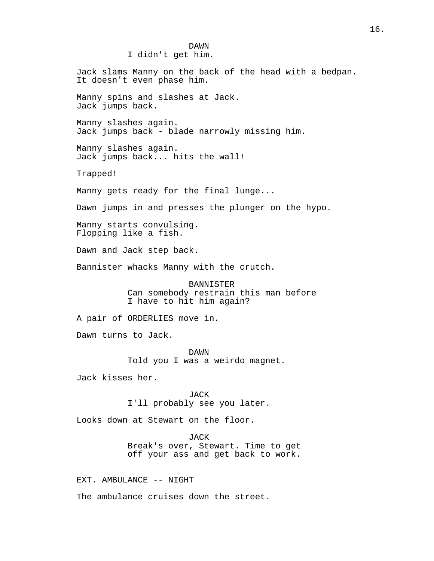# DAWN I didn't get him. Jack slams Manny on the back of the head with a bedpan. It doesn't even phase him. Manny spins and slashes at Jack. Jack jumps back. Manny slashes again. Jack jumps back - blade narrowly missing him. Manny slashes again. Jack jumps back... hits the wall! Trapped! Manny gets ready for the final lunge... Dawn jumps in and presses the plunger on the hypo. Manny starts convulsing. Flopping like a fish. Dawn and Jack step back. Bannister whacks Manny with the crutch. BANNISTER Can somebody restrain this man before I have to hit him again? A pair of ORDERLIES move in. Dawn turns to Jack. DAWN Told you I was a weirdo magnet. Jack kisses her. JACK I'll probably see you later. Looks down at Stewart on the floor. JACK Break's over, Stewart. Time to get off your ass and get back to work. EXT. AMBULANCE -- NIGHT

The ambulance cruises down the street.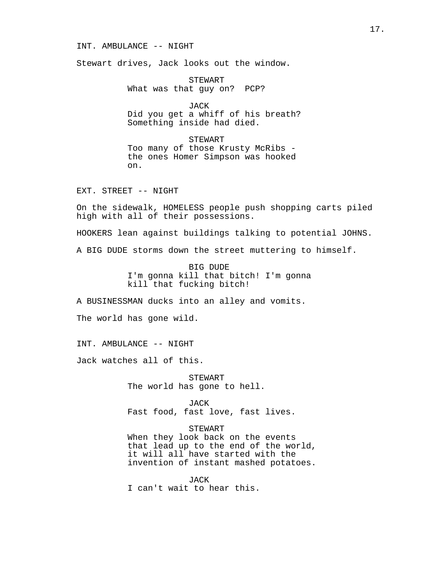#### INT. AMBULANCE -- NIGHT

Stewart drives, Jack looks out the window.

STEWART What was that guy on? PCP?

JACK Did you get a whiff of his breath? Something inside had died.

STEWART Too many of those Krusty McRibs the ones Homer Simpson was hooked on.

EXT. STREET -- NIGHT

On the sidewalk, HOMELESS people push shopping carts piled high with all of their possessions.

HOOKERS lean against buildings talking to potential JOHNS.

A BIG DUDE storms down the street muttering to himself.

BIG DUDE I'm gonna kill that bitch! I'm gonna kill that fucking bitch!

A BUSINESSMAN ducks into an alley and vomits.

The world has gone wild.

INT. AMBULANCE -- NIGHT

Jack watches all of this.

STEWART The world has gone to hell.

JACK Fast food, fast love, fast lives.

STEWART

When they look back on the events that lead up to the end of the world, it will all have started with the invention of instant mashed potatoes.

JACK I can't wait to hear this.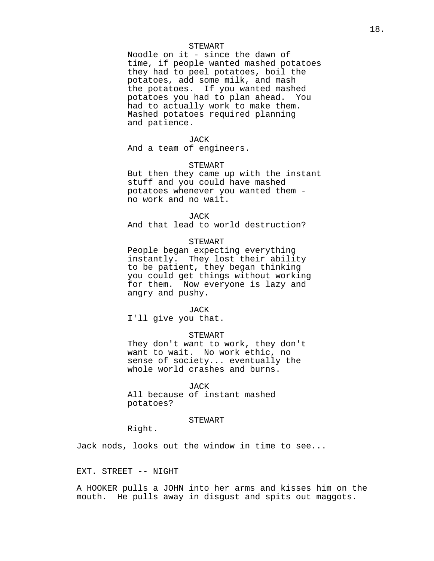#### STEWART

Noodle on it - since the dawn of time, if people wanted mashed potatoes they had to peel potatoes, boil the potatoes, add some milk, and mash the potatoes. If you wanted mashed potatoes you had to plan ahead. You had to actually work to make them. Mashed potatoes required planning and patience.

#### JACK

And a team of engineers.

#### STEWART

But then they came up with the instant stuff and you could have mashed potatoes whenever you wanted them no work and no wait.

#### JACK

And that lead to world destruction?

## STEWART

People began expecting everything instantly. They lost their ability to be patient, they began thinking you could get things without working for them. Now everyone is lazy and angry and pushy.

#### JACK

I'll give you that.

## STEWART

They don't want to work, they don't want to wait. No work ethic, no sense of society... eventually the whole world crashes and burns.

#### JACK

All because of instant mashed potatoes?

#### STEWART

Right.

Jack nods, looks out the window in time to see...

## EXT. STREET -- NIGHT

A HOOKER pulls a JOHN into her arms and kisses him on the mouth. He pulls away in disgust and spits out maggots.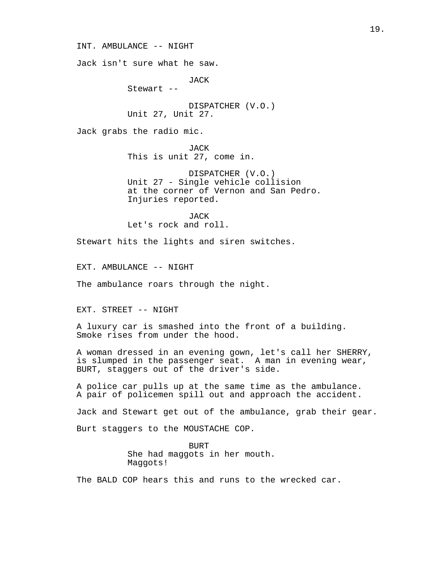INT. AMBULANCE -- NIGHT

Jack isn't sure what he saw.

JACK

Stewart --

DISPATCHER (V.O.) Unit 27, Unit 27.

Jack grabs the radio mic.

JACK This is unit 27, come in.

DISPATCHER (V.O.) Unit 27 - Single vehicle collision at the corner of Vernon and San Pedro. Injuries reported.

JACK Let's rock and roll.

Stewart hits the lights and siren switches.

EXT. AMBULANCE -- NIGHT

The ambulance roars through the night.

EXT. STREET -- NIGHT

A luxury car is smashed into the front of a building. Smoke rises from under the hood.

A woman dressed in an evening gown, let's call her SHERRY, is slumped in the passenger seat. A man in evening wear, BURT, staggers out of the driver's side.

A police car pulls up at the same time as the ambulance. A pair of policemen spill out and approach the accident.

Jack and Stewart get out of the ambulance, grab their gear.

Burt staggers to the MOUSTACHE COP.

BURT She had maggots in her mouth. Maggots!

The BALD COP hears this and runs to the wrecked car.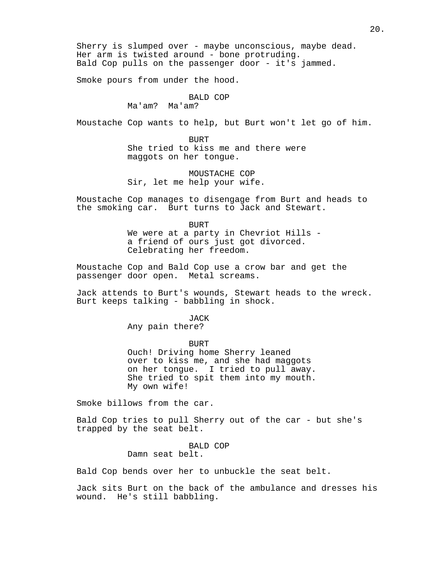Sherry is slumped over - maybe unconscious, maybe dead. Her arm is twisted around - bone protruding. Bald Cop pulls on the passenger door - it's jammed.

Smoke pours from under the hood.

## BALD COP

Ma'am? Ma'am?

Moustache Cop wants to help, but Burt won't let go of him.

BURT She tried to kiss me and there were maggots on her tongue.

MOUSTACHE COP Sir, let me help your wife.

Moustache Cop manages to disengage from Burt and heads to the smoking car. Burt turns to Jack and Stewart.

> BURT We were at a party in Chevriot Hills a friend of ours just got divorced. Celebrating her freedom.

Moustache Cop and Bald Cop use a crow bar and get the passenger door open. Metal screams.

Jack attends to Burt's wounds, Stewart heads to the wreck. Burt keeps talking - babbling in shock.

> JACK Any pain there?

BURT Ouch! Driving home Sherry leaned over to kiss me, and she had maggots on her tongue. I tried to pull away. She tried to spit them into my mouth. My own wife!

Smoke billows from the car.

Bald Cop tries to pull Sherry out of the car - but she's trapped by the seat belt.

> BALD COP Damn seat belt.

Bald Cop bends over her to unbuckle the seat belt.

Jack sits Burt on the back of the ambulance and dresses his wound. He's still babbling.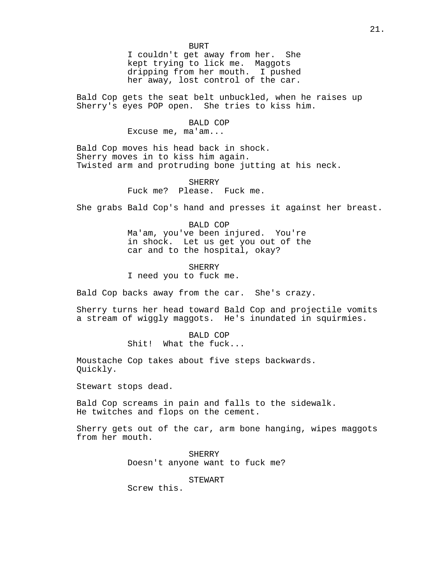I couldn't get away from her. She kept trying to lick me. Maggots dripping from her mouth. I pushed her away, lost control of the car.

Bald Cop gets the seat belt unbuckled, when he raises up Sherry's eyes POP open. She tries to kiss him.

### BALD COP

Excuse me, ma'am...

Bald Cop moves his head back in shock. Sherry moves in to kiss him again. Twisted arm and protruding bone jutting at his neck.

> SHERRY Fuck me? Please. Fuck me.

She grabs Bald Cop's hand and presses it against her breast.

BALD COP Ma'am, you've been injured. You're in shock. Let us get you out of the car and to the hospital, okay?

SHERRY I need you to fuck me.

Bald Cop backs away from the car. She's crazy.

Sherry turns her head toward Bald Cop and projectile vomits a stream of wiggly maggots. He's inundated in squirmies.

> BALD COP Shit! What the fuck...

Moustache Cop takes about five steps backwards. Quickly.

Stewart stops dead.

Bald Cop screams in pain and falls to the sidewalk. He twitches and flops on the cement.

Sherry gets out of the car, arm bone hanging, wipes maggots from her mouth.

> SHERRY Doesn't anyone want to fuck me?

> > STEWART

Screw this.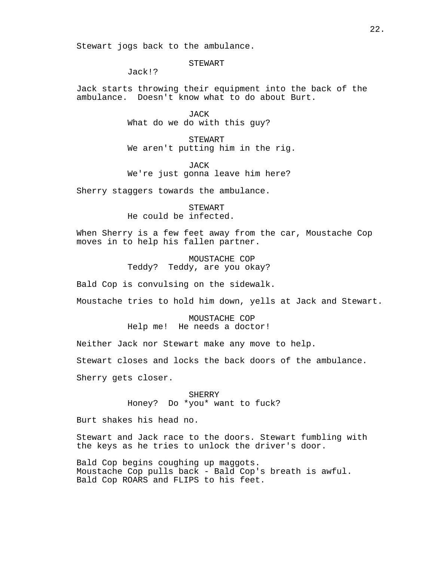Stewart jogs back to the ambulance.

STEWART

Jack!?

Jack starts throwing their equipment into the back of the ambulance. Doesn't know what to do about Burt.

> JACK What do we do with this guy?

STEWART We aren't putting him in the rig.

JACK We're just gonna leave him here?

Sherry staggers towards the ambulance.

STEWART He could be infected.

When Sherry is a few feet away from the car, Moustache Cop moves in to help his fallen partner.

> MOUSTACHE COP Teddy? Teddy, are you okay?

Bald Cop is convulsing on the sidewalk.

Moustache tries to hold him down, yells at Jack and Stewart.

MOUSTACHE COP Help me! He needs a doctor!

Neither Jack nor Stewart make any move to help.

Stewart closes and locks the back doors of the ambulance.

Sherry gets closer.

SHERRY Honey? Do \*you\* want to fuck?

Burt shakes his head no.

Stewart and Jack race to the doors. Stewart fumbling with the keys as he tries to unlock the driver's door.

Bald Cop begins coughing up maggots. Moustache Cop pulls back - Bald Cop's breath is awful. Bald Cop ROARS and FLIPS to his feet.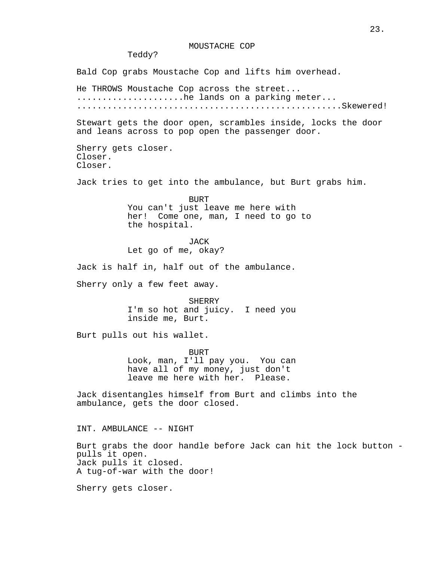## MOUSTACHE COP

Teddy?

Bald Cop grabs Moustache Cop and lifts him overhead.

He THROWS Moustache Cop across the street... .......................he lands on a parking meter... ....................................................Skewered!

Stewart gets the door open, scrambles inside, locks the door and leans across to pop open the passenger door.

Sherry gets closer. Closer. Closer.

Jack tries to get into the ambulance, but Burt grabs him.

BURT You can't just leave me here with her! Come one, man, I need to go to the hospital.

JACK Let go of me, okay?

Jack is half in, half out of the ambulance.

Sherry only a few feet away.

**SHERRY** I'm so hot and juicy. I need you inside me, Burt.

Burt pulls out his wallet.

**BURT** Look, man, I'll pay you. You can have all of my money, just don't leave me here with her. Please.

Jack disentangles himself from Burt and climbs into the ambulance, gets the door closed.

INT. AMBULANCE -- NIGHT

Burt grabs the door handle before Jack can hit the lock button pulls it open. Jack pulls it closed. A tug-of-war with the door!

Sherry gets closer.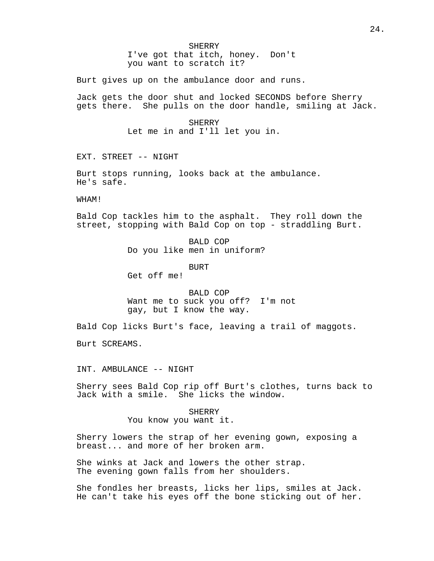I've got that itch, honey. Don't you want to scratch it?

Burt gives up on the ambulance door and runs.

Jack gets the door shut and locked SECONDS before Sherry gets there. She pulls on the door handle, smiling at Jack.

#### SHERRY

Let me in and I'll let you in.

EXT. STREET -- NIGHT

Burt stops running, looks back at the ambulance. He's safe.

WHAM!

Bald Cop tackles him to the asphalt. They roll down the street, stopping with Bald Cop on top - straddling Burt.

> BALD COP Do you like men in uniform?

> > BURT

Get off me!

BALD COP Want me to suck you off? I'm not gay, but I know the way.

Bald Cop licks Burt's face, leaving a trail of maggots.

Burt SCREAMS.

INT. AMBULANCE -- NIGHT

Sherry sees Bald Cop rip off Burt's clothes, turns back to Jack with a smile. She licks the window.

> **SHERRY** You know you want it.

Sherry lowers the strap of her evening gown, exposing a breast... and more of her broken arm.

She winks at Jack and lowers the other strap. The evening gown falls from her shoulders.

She fondles her breasts, licks her lips, smiles at Jack. He can't take his eyes off the bone sticking out of her.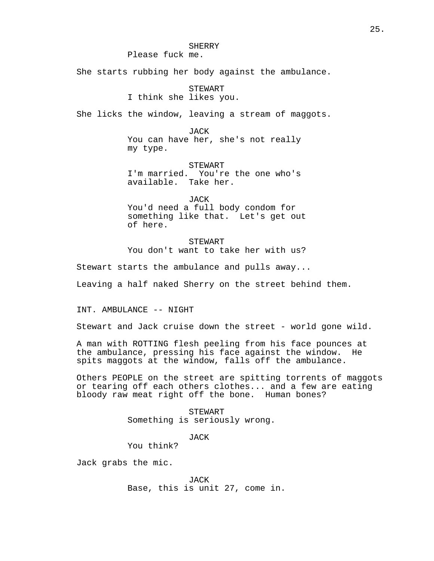Please fuck me.

She starts rubbing her body against the ambulance.

STEWART I think she likes you.

She licks the window, leaving a stream of maggots.

JACK You can have her, she's not really my type.

STEWART I'm married. You're the one who's available. Take her.

JACK You'd need a full body condom for something like that. Let's get out of here.

STEWART You don't want to take her with us?

Stewart starts the ambulance and pulls away...

Leaving a half naked Sherry on the street behind them.

INT. AMBULANCE -- NIGHT

Stewart and Jack cruise down the street - world gone wild.

A man with ROTTING flesh peeling from his face pounces at the ambulance, pressing his face against the window. He spits maggots at the window, falls off the ambulance.

Others PEOPLE on the street are spitting torrents of maggots or tearing off each others clothes... and a few are eating bloody raw meat right off the bone. Human bones?

> STEWART Something is seriously wrong.

> > JACK

You think?

Jack grabs the mic.

JACK Base, this is unit 27, come in.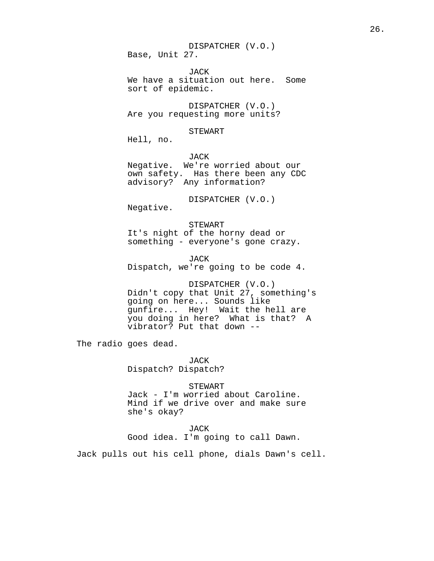DISPATCHER (V.O.) Base, Unit 27.

JACK We have a situation out here. Some sort of epidemic.

DISPATCHER (V.O.) Are you requesting more units?

#### STEWART

Hell, no.

JACK Negative. We're worried about our own safety. Has there been any CDC advisory? Any information?

DISPATCHER (V.O.)

Negative.

STEWART It's night of the horny dead or something - everyone's gone crazy.

JACK Dispatch, we're going to be code 4.

DISPATCHER (V.O.) Didn't copy that Unit 27, something's going on here... Sounds like gunfire... Hey! Wait the hell are you doing in here? What is that? A vibrator? Put that down --

The radio goes dead.

JACK Dispatch? Dispatch?

STEWART Jack - I'm worried about Caroline. Mind if we drive over and make sure she's okay?

JACK

Good idea. I'm going to call Dawn.

Jack pulls out his cell phone, dials Dawn's cell.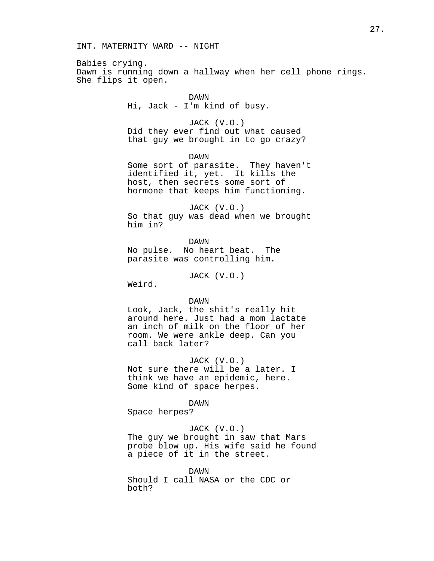Babies crying. Dawn is running down a hallway when her cell phone rings. She flips it open.

## DAWN

Hi, Jack - I'm kind of busy.

### JACK (V.O.)

Did they ever find out what caused that guy we brought in to go crazy?

DAWN

Some sort of parasite. They haven't identified it, yet. It kills the host, then secrets some sort of hormone that keeps him functioning.

JACK (V.O.) So that guy was dead when we brought him in?

DAWN No pulse. No heart beat. The

parasite was controlling him.

JACK (V.O.)

Weird.

#### DAWN

Look, Jack, the shit's really hit around here. Just had a mom lactate an inch of milk on the floor of her room. We were ankle deep. Can you call back later?

JACK (V.O.) Not sure there will be a later. I

think we have an epidemic, here. Some kind of space herpes.

#### DAWN

Space herpes?

## JACK (V.O.)

The guy we brought in saw that Mars probe blow up. His wife said he found a piece of it in the street.

DAWN Should I call NASA or the CDC or both?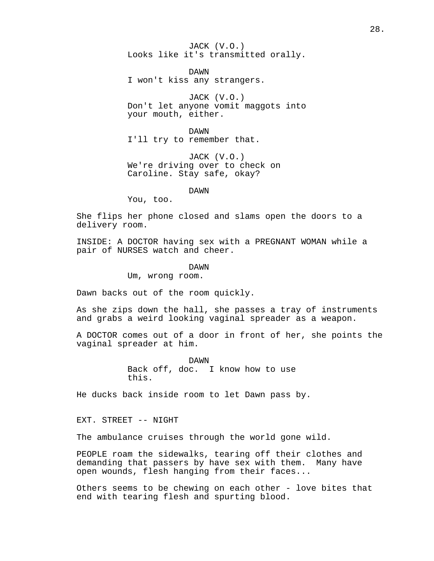JACK (V.O.) Looks like it's transmitted orally.

DAWN I won't kiss any strangers.

JACK (V.O.) Don't let anyone vomit maggots into your mouth, either.

DAWN I'll try to remember that.

JACK (V.O.) We're driving over to check on Caroline. Stay safe, okay?

DAWN

You, too.

She flips her phone closed and slams open the doors to a delivery room.

INSIDE: A DOCTOR having sex with a PREGNANT WOMAN while a pair of NURSES watch and cheer.

DAWN

Um, wrong room.

Dawn backs out of the room quickly.

As she zips down the hall, she passes a tray of instruments and grabs a weird looking vaginal spreader as a weapon.

A DOCTOR comes out of a door in front of her, she points the vaginal spreader at him.

> DAWN Back off, doc. I know how to use this.

He ducks back inside room to let Dawn pass by.

EXT. STREET -- NIGHT

The ambulance cruises through the world gone wild.

PEOPLE roam the sidewalks, tearing off their clothes and demanding that passers by have sex with them. Many have open wounds, flesh hanging from their faces...

Others seems to be chewing on each other - love bites that end with tearing flesh and spurting blood.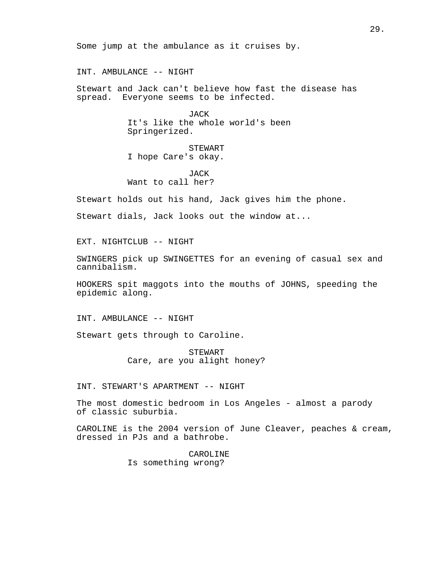Some jump at the ambulance as it cruises by.

INT. AMBULANCE -- NIGHT

Stewart and Jack can't believe how fast the disease has spread. Everyone seems to be infected.

> JACK It's like the whole world's been Springerized.

STEWART I hope Care's okay.

JACK Want to call her?

Stewart holds out his hand, Jack gives him the phone.

Stewart dials, Jack looks out the window at...

EXT. NIGHTCLUB -- NIGHT

SWINGERS pick up SWINGETTES for an evening of casual sex and cannibalism.

HOOKERS spit maggots into the mouths of JOHNS, speeding the epidemic along.

INT. AMBULANCE -- NIGHT

Stewart gets through to Caroline.

STEWART Care, are you alight honey?

INT. STEWART'S APARTMENT -- NIGHT

The most domestic bedroom in Los Angeles - almost a parody of classic suburbia.

CAROLINE is the 2004 version of June Cleaver, peaches & cream, dressed in PJs and a bathrobe.

> CAROLINE Is something wrong?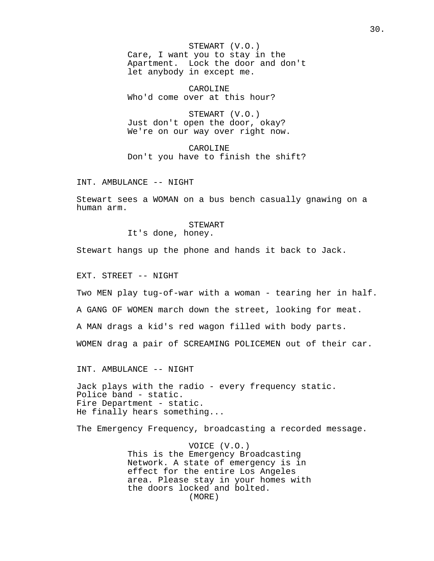STEWART (V.O.) Care, I want you to stay in the Apartment. Lock the door and don't let anybody in except me.

CAROLINE Who'd come over at this hour?

STEWART (V.O.) Just don't open the door, okay? We're on our way over right now.

CAROLINE Don't you have to finish the shift?

INT. AMBULANCE -- NIGHT

Stewart sees a WOMAN on a bus bench casually gnawing on a human arm.

STEWART

It's done, honey.

Stewart hangs up the phone and hands it back to Jack.

EXT. STREET -- NIGHT

Two MEN play tug-of-war with a woman - tearing her in half.

A GANG OF WOMEN march down the street, looking for meat.

A MAN drags a kid's red wagon filled with body parts.

WOMEN drag a pair of SCREAMING POLICEMEN out of their car.

INT. AMBULANCE -- NIGHT

Jack plays with the radio - every frequency static. Police band - static. Fire Department - static. He finally hears something...

The Emergency Frequency, broadcasting a recorded message.

VOICE (V.O.) This is the Emergency Broadcasting Network. A state of emergency is in effect for the entire Los Angeles area. Please stay in your homes with the doors locked and bolted. (MORE)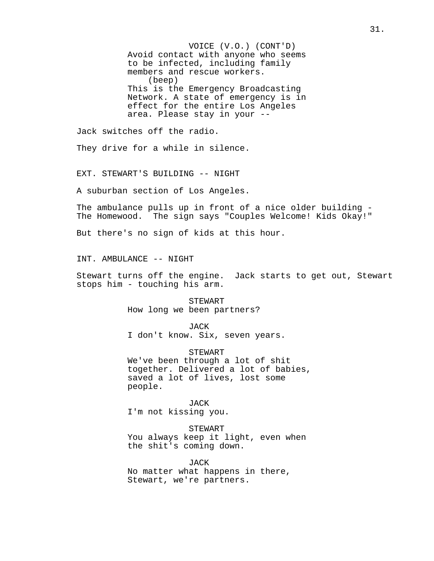VOICE (V.O.) (CONT'D) Avoid contact with anyone who seems to be infected, including family members and rescue workers. (beep) This is the Emergency Broadcasting Network. A state of emergency is in effect for the entire Los Angeles area. Please stay in your --

Jack switches off the radio.

They drive for a while in silence.

EXT. STEWART'S BUILDING -- NIGHT

A suburban section of Los Angeles.

The ambulance pulls up in front of a nice older building - The Homewood. The sign says "Couples Welcome! Kids Okay!"

But there's no sign of kids at this hour.

INT. AMBULANCE -- NIGHT

Stewart turns off the engine. Jack starts to get out, Stewart stops him - touching his arm.

> STEWART How long we been partners?

> > JACK

I don't know. Six, seven years.

STEWART

We've been through a lot of shit together. Delivered a lot of babies, saved a lot of lives, lost some people.

JACK

I'm not kissing you.

STEWART

You always keep it light, even when the shit's coming down.

JACK No matter what happens in there, Stewart, we're partners.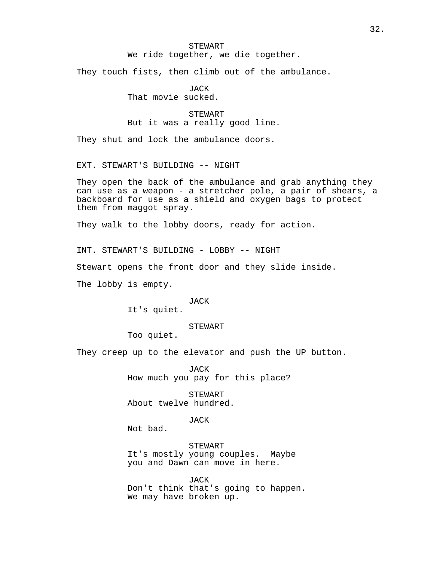# STEWART

We ride together, we die together.

They touch fists, then climb out of the ambulance.

JACK That movie sucked.

STEWART But it was a really good line.

They shut and lock the ambulance doors.

EXT. STEWART'S BUILDING -- NIGHT

They open the back of the ambulance and grab anything they can use as a weapon - a stretcher pole, a pair of shears, a backboard for use as a shield and oxygen bags to protect them from maggot spray.

They walk to the lobby doors, ready for action.

INT. STEWART'S BUILDING - LOBBY -- NIGHT Stewart opens the front door and they slide inside. The lobby is empty.

JACK

It's quiet.

STEWART

Too quiet.

They creep up to the elevator and push the UP button.

JACK How much you pay for this place?

STEWART About twelve hundred.

JACK

Not bad.

STEWART It's mostly young couples. Maybe you and Dawn can move in here.

JACK Don't think that's going to happen. We may have broken up.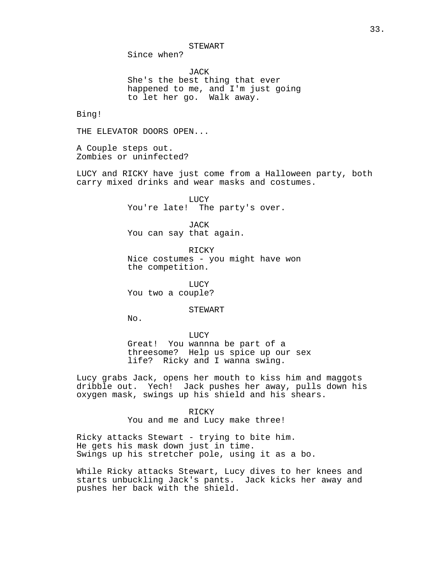STEWART

Since when?

JACK She's the best thing that ever happened to me, and I'm just going to let her go. Walk away.

Bing!

THE ELEVATOR DOORS OPEN...

A Couple steps out. Zombies or uninfected?

LUCY and RICKY have just come from a Halloween party, both carry mixed drinks and wear masks and costumes.

> LUCY You're late! The party's over.

JACK You can say that again.

RICKY Nice costumes - you might have won the competition.

LUCY You two a couple?

#### STEWART

 $No.$ 

LUCY

Great! You wannna be part of a threesome? Help us spice up our sex life? Ricky and I wanna swing.

Lucy grabs Jack, opens her mouth to kiss him and maggots dribble out. Yech! Jack pushes her away, pulls down his oxygen mask, swings up his shield and his shears.

> RICKY You and me and Lucy make three!

Ricky attacks Stewart - trying to bite him. He gets his mask down just in time. Swings up his stretcher pole, using it as a bo.

While Ricky attacks Stewart, Lucy dives to her knees and starts unbuckling Jack's pants. Jack kicks her away and pushes her back with the shield.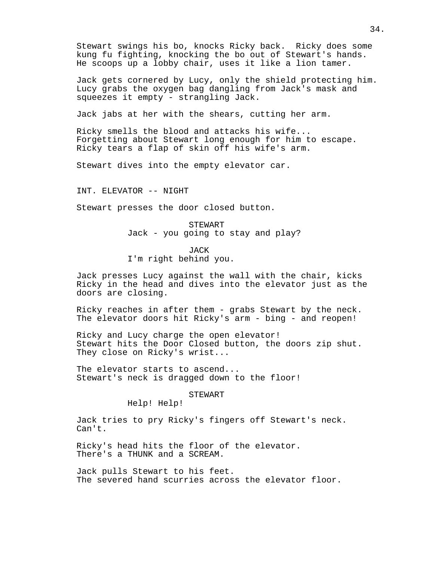Stewart swings his bo, knocks Ricky back. Ricky does some kung fu fighting, knocking the bo out of Stewart's hands. He scoops up a lobby chair, uses it like a lion tamer.

Jack gets cornered by Lucy, only the shield protecting him. Lucy grabs the oxygen bag dangling from Jack's mask and squeezes it empty - strangling Jack.

Jack jabs at her with the shears, cutting her arm.

Ricky smells the blood and attacks his wife... Forgetting about Stewart long enough for him to escape. Ricky tears a flap of skin off his wife's arm.

Stewart dives into the empty elevator car.

INT. ELEVATOR -- NIGHT

Stewart presses the door closed button.

STEWART Jack - you going to stay and play?

JACK I'm right behind you.

Jack presses Lucy against the wall with the chair, kicks Ricky in the head and dives into the elevator just as the doors are closing.

Ricky reaches in after them - grabs Stewart by the neck. The elevator doors hit Ricky's arm - bing - and reopen!

Ricky and Lucy charge the open elevator! Stewart hits the Door Closed button, the doors zip shut. They close on Ricky's wrist...

The elevator starts to ascend... Stewart's neck is dragged down to the floor!

#### STEWART

Help! Help!

Jack tries to pry Ricky's fingers off Stewart's neck. Can't.

Ricky's head hits the floor of the elevator. There's a THUNK and a SCREAM.

Jack pulls Stewart to his feet. The severed hand scurries across the elevator floor.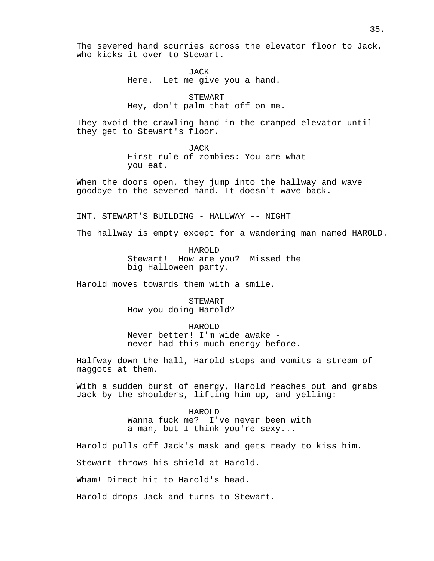The severed hand scurries across the elevator floor to Jack, who kicks it over to Stewart.

> JACK Here. Let me give you a hand.

STEWART Hey, don't palm that off on me.

They avoid the crawling hand in the cramped elevator until they get to Stewart's floor.

> JACK First rule of zombies: You are what you eat.

When the doors open, they jump into the hallway and wave goodbye to the severed hand. It doesn't wave back.

INT. STEWART'S BUILDING - HALLWAY -- NIGHT

The hallway is empty except for a wandering man named HAROLD.

HAROLD Stewart! How are you? Missed the big Halloween party.

Harold moves towards them with a smile.

**STEWART** How you doing Harold?

HAROLD Never better! I'm wide awake never had this much energy before.

Halfway down the hall, Harold stops and vomits a stream of maggots at them.

With a sudden burst of energy, Harold reaches out and grabs Jack by the shoulders, lifting him up, and yelling:

> HAROLD Wanna fuck me? I've never been with a man, but I think you're sexy...

Harold pulls off Jack's mask and gets ready to kiss him.

Stewart throws his shield at Harold.

Wham! Direct hit to Harold's head.

Harold drops Jack and turns to Stewart.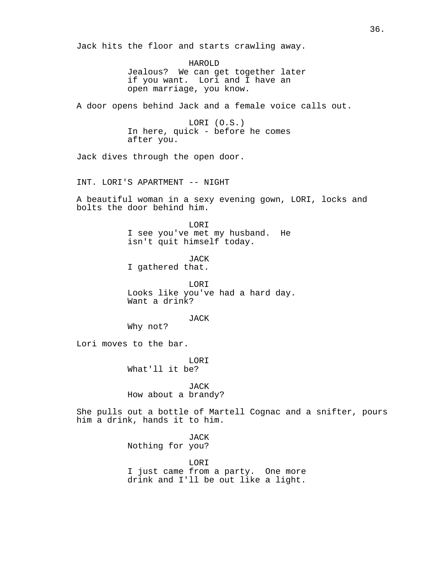Jack hits the floor and starts crawling away. HAROLD Jealous? We can get together later if you want. Lori and I have an open marriage, you know. A door opens behind Jack and a female voice calls out. LORI (O.S.) In here, quick - before he comes after you. Jack dives through the open door. INT. LORI'S APARTMENT -- NIGHT A beautiful woman in a sexy evening gown, LORI, locks and bolts the door behind him. LORI I see you've met my husband. He isn't quit himself today. JACK I gathered that. LORI Looks like you've had a hard day. Want a drink? JACK Why not? Lori moves to the bar. LORI What'll it be? JACK How about a brandy? She pulls out a bottle of Martell Cognac and a snifter, pours him a drink, hands it to him. JACK Nothing for you? LORI I just came from a party. One more drink and I'll be out like a light.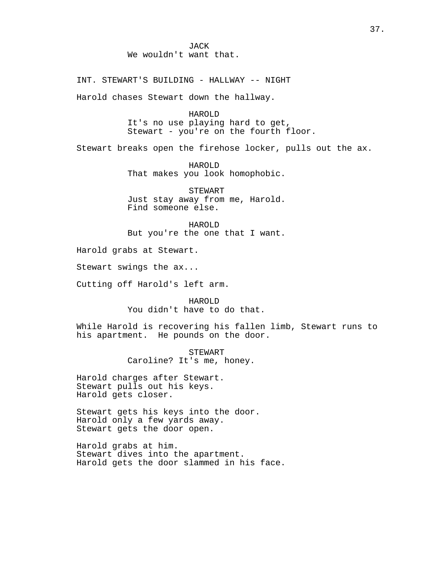INT. STEWART'S BUILDING - HALLWAY -- NIGHT Harold chases Stewart down the hallway.

> HAROLD It's no use playing hard to get, Stewart - you're on the fourth floor.

Stewart breaks open the firehose locker, pulls out the ax.

HAROLD That makes you look homophobic.

STEWART Just stay away from me, Harold. Find someone else.

HAROLD But you're the one that I want.

Harold grabs at Stewart.

Stewart swings the ax...

Cutting off Harold's left arm.

HAROLD You didn't have to do that.

While Harold is recovering his fallen limb, Stewart runs to his apartment. He pounds on the door.

> STEWART Caroline? It's me, honey.

Harold charges after Stewart. Stewart pulls out his keys. Harold gets closer.

Stewart gets his keys into the door. Harold only a few yards away. Stewart gets the door open.

Harold grabs at him. Stewart dives into the apartment. Harold gets the door slammed in his face.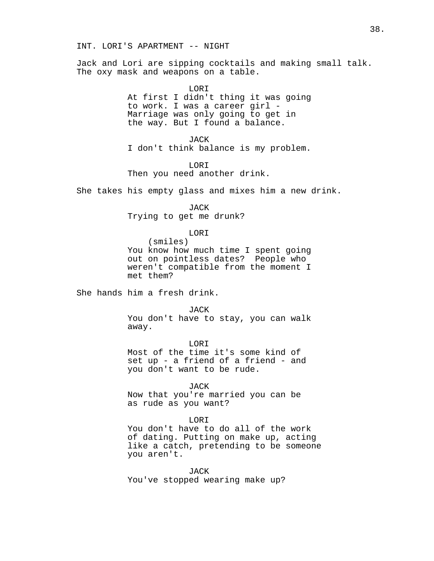INT. LORI'S APARTMENT -- NIGHT

Jack and Lori are sipping cocktails and making small talk. The oxy mask and weapons on a table.

> LORI At first I didn't thing it was going to work. I was a career girl - Marriage was only going to get in the way. But I found a balance.

> JACK I don't think balance is my problem.

LORI Then you need another drink.

She takes his empty glass and mixes him a new drink.

JACK Trying to get me drunk?

LORI

(smiles) You know how much time I spent going out on pointless dates? People who weren't compatible from the moment I met them?

She hands him a fresh drink.

JACK

You don't have to stay, you can walk away.

LORI Most of the time it's some kind of set up - a friend of a friend - and you don't want to be rude.

JACK

Now that you're married you can be as rude as you want?

#### LORI

You don't have to do all of the work of dating. Putting on make up, acting like a catch, pretending to be someone you aren't.

JACK You've stopped wearing make up?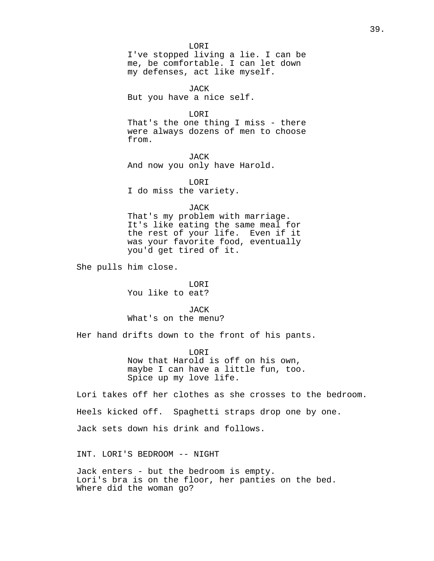LORI I've stopped living a lie. I can be me, be comfortable. I can let down my defenses, act like myself.

JACK But you have a nice self.

LORI

That's the one thing I miss - there were always dozens of men to choose from.

JACK And now you only have Harold.

LORI I do miss the variety.

JACK

That's my problem with marriage. It's like eating the same meal for the rest of your life. Even if it was your favorite food, eventually you'd get tired of it.

She pulls him close.

LORI You like to eat?

JACK What's on the menu?

Her hand drifts down to the front of his pants.

**LORT** Now that Harold is off on his own, maybe I can have a little fun, too. Spice up my love life.

Lori takes off her clothes as she crosses to the bedroom.

Heels kicked off. Spaghetti straps drop one by one.

Jack sets down his drink and follows.

INT. LORI'S BEDROOM -- NIGHT

Jack enters - but the bedroom is empty. Lori's bra is on the floor, her panties on the bed. Where did the woman go?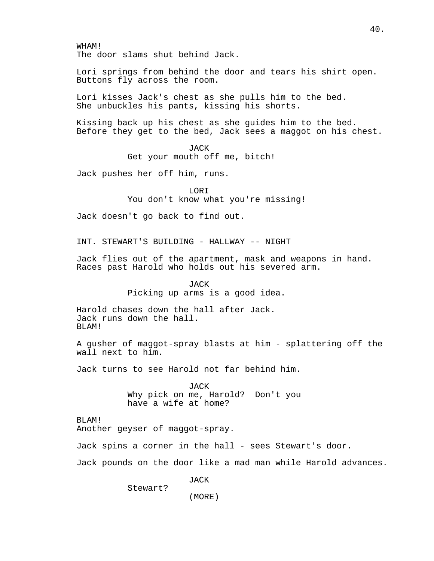WHAM! The door slams shut behind Jack. Lori springs from behind the door and tears his shirt open. Buttons fly across the room. Lori kisses Jack's chest as she pulls him to the bed. She unbuckles his pants, kissing his shorts. Kissing back up his chest as she guides him to the bed. Before they get to the bed, Jack sees a maggot on his chest. JACK Get your mouth off me, bitch! Jack pushes her off him, runs. LORI You don't know what you're missing! Jack doesn't go back to find out. INT. STEWART'S BUILDING - HALLWAY -- NIGHT Jack flies out of the apartment, mask and weapons in hand. Races past Harold who holds out his severed arm. JACK Picking up arms is a good idea. Harold chases down the hall after Jack. Jack runs down the hall. BLAM! A gusher of maggot-spray blasts at him - splattering off the wall next to him. Jack turns to see Harold not far behind him. JACK Why pick on me, Harold? Don't you have a wife at home? BLAM! Another geyser of maggot-spray. Jack spins a corner in the hall - sees Stewart's door. Jack pounds on the door like a mad man while Harold advances. JACK Stewart?

(MORE)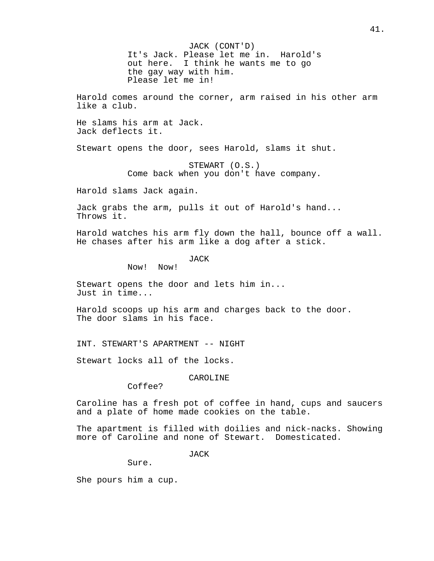JACK (CONT'D) It's Jack. Please let me in. Harold's out here. I think he wants me to go the gay way with him. Please let me in!

Harold comes around the corner, arm raised in his other arm like a club.

He slams his arm at Jack. Jack deflects it.

Stewart opens the door, sees Harold, slams it shut.

STEWART (O.S.) Come back when you don't have company.

Harold slams Jack again.

Jack grabs the arm, pulls it out of Harold's hand... Throws it.

Harold watches his arm fly down the hall, bounce off a wall. He chases after his arm like a dog after a stick.

JACK

Now! Now!

Stewart opens the door and lets him in... Just in time...

Harold scoops up his arm and charges back to the door. The door slams in his face.

INT. STEWART'S APARTMENT -- NIGHT

Stewart locks all of the locks.

CAROLINE

Coffee?

Caroline has a fresh pot of coffee in hand, cups and saucers and a plate of home made cookies on the table.

The apartment is filled with doilies and nick-nacks. Showing more of Caroline and none of Stewart. Domesticated.

JACK

Sure.

She pours him a cup.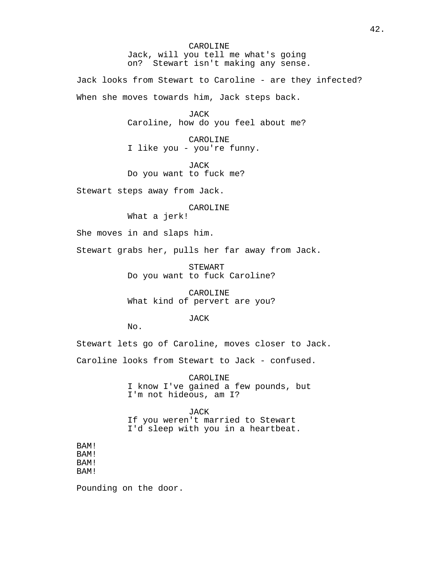CAROLINE Jack, will you tell me what's going on? Stewart isn't making any sense.

Jack looks from Stewart to Caroline - are they infected? When she moves towards him, Jack steps back.

> JACK Caroline, how do you feel about me?

CAROLINE I like you - you're funny.

JACK Do you want to fuck me?

Stewart steps away from Jack.

CAROLINE

What a jerk!

She moves in and slaps him.

Stewart grabs her, pulls her far away from Jack.

STEWART Do you want to fuck Caroline?

CAROLINE What kind of pervert are you?

JACK

No.

Stewart lets go of Caroline, moves closer to Jack.

Caroline looks from Stewart to Jack - confused.

CAROLINE I know I've gained a few pounds, but I'm not hideous, am I?

JACK If you weren't married to Stewart I'd sleep with you in a heartbeat.

BAM! BAM! BAM! BAM!

Pounding on the door.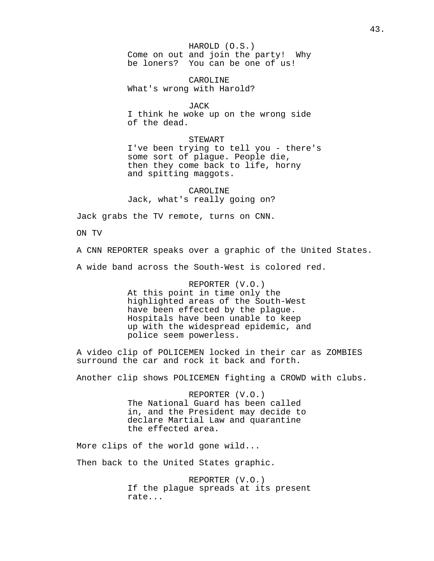HAROLD (O.S.) Come on out and join the party! Why be loners? You can be one of us!

CAROLINE What's wrong with Harold?

JACK

I think he woke up on the wrong side of the dead.

STEWART

I've been trying to tell you - there's some sort of plague. People die, then they come back to life, horny and spitting maggots.

CAROLINE Jack, what's really going on?

Jack grabs the TV remote, turns on CNN.

ON TV

A CNN REPORTER speaks over a graphic of the United States.

A wide band across the South-West is colored red.

REPORTER (V.O.) At this point in time only the highlighted areas of the South-West have been effected by the plague. Hospitals have been unable to keep up with the widespread epidemic, and police seem powerless.

A video clip of POLICEMEN locked in their car as ZOMBIES surround the car and rock it back and forth.

Another clip shows POLICEMEN fighting a CROWD with clubs.

REPORTER (V.O.) The National Guard has been called in, and the President may decide to declare Martial Law and quarantine the effected area.

More clips of the world gone wild...

Then back to the United States graphic.

REPORTER (V.O.) If the plague spreads at its present rate...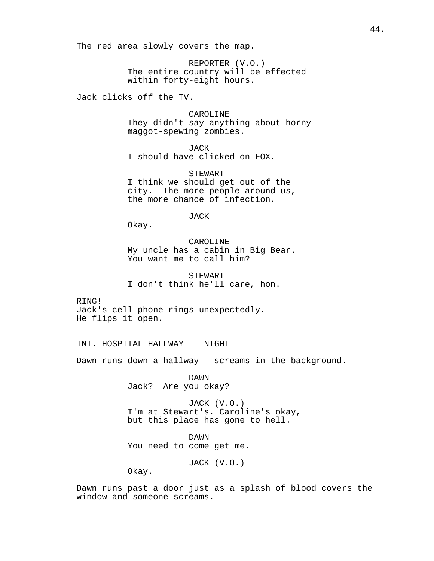The red area slowly covers the map.

REPORTER (V.O.) The entire country will be effected within forty-eight hours.

Jack clicks off the TV.

CAROLINE They didn't say anything about horny maggot-spewing zombies.

JACK I should have clicked on FOX.

STEWART I think we should get out of the city. The more people around us, the more chance of infection.

JACK

Okay.

CAROLINE My uncle has a cabin in Big Bear. You want me to call him?

STEWART I don't think he'll care, hon.

RING! Jack's cell phone rings unexpectedly. He flips it open.

INT. HOSPITAL HALLWAY -- NIGHT

Dawn runs down a hallway - screams in the background.

DAWN Jack? Are you okay?

JACK (V.O.) I'm at Stewart's. Caroline's okay, but this place has gone to hell.

DAWN You need to come get me.

JACK (V.O.)

Okay.

Dawn runs past a door just as a splash of blood covers the window and someone screams.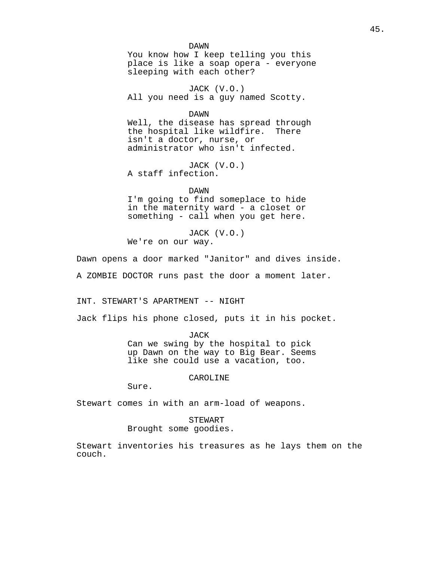DAWN You know how I keep telling you this place is like a soap opera - everyone sleeping with each other?

JACK (V.O.) All you need is a guy named Scotty.

DAWN

Well, the disease has spread through the hospital like wildfire. There isn't a doctor, nurse, or administrator who isn't infected.

JACK (V.O.) A staff infection.

DAWN

I'm going to find someplace to hide in the maternity ward - a closet or something - call when you get here.

JACK (V.O.) We're on our way.

Dawn opens a door marked "Janitor" and dives inside.

A ZOMBIE DOCTOR runs past the door a moment later.

INT. STEWART'S APARTMENT -- NIGHT

Jack flips his phone closed, puts it in his pocket.

JACK

Can we swing by the hospital to pick up Dawn on the way to Big Bear. Seems like she could use a vacation, too.

CAROLINE

Sure.

Stewart comes in with an arm-load of weapons.

STEWART

Brought some goodies.

Stewart inventories his treasures as he lays them on the couch.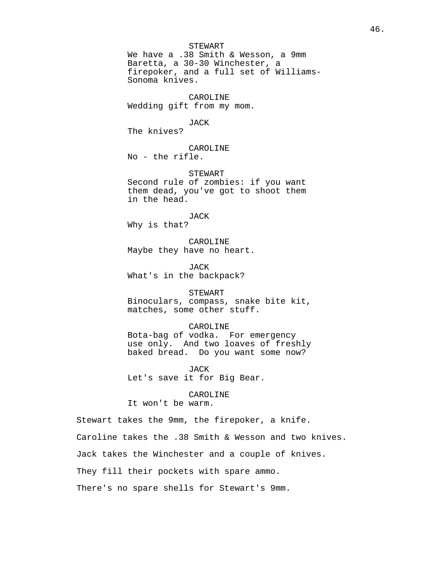### STEWART

We have a .38 Smith & Wesson, a 9mm Baretta, a 30-30 Winchester, a firepoker, and a full set of Williams-Sonoma knives.

CAROLINE Wedding gift from my mom.

#### JACK

The knives?

CAROLINE No - the rifle.

STEWART

Second rule of zombies: if you want them dead, you've got to shoot them in the head.

JACK Why is that?

CAROLINE Maybe they have no heart.

JACK What's in the backpack?

STEWART Binoculars, compass, snake bite kit, matches, some other stuff.

## CAROLINE

Bota-bag of vodka. For emergency use only. And two loaves of freshly baked bread. Do you want some now?

JACK Let's save it for Big Bear.

CAROLINE

It won't be warm.

Stewart takes the 9mm, the firepoker, a knife.

Caroline takes the .38 Smith & Wesson and two knives.

Jack takes the Winchester and a couple of knives.

They fill their pockets with spare ammo.

There's no spare shells for Stewart's 9mm.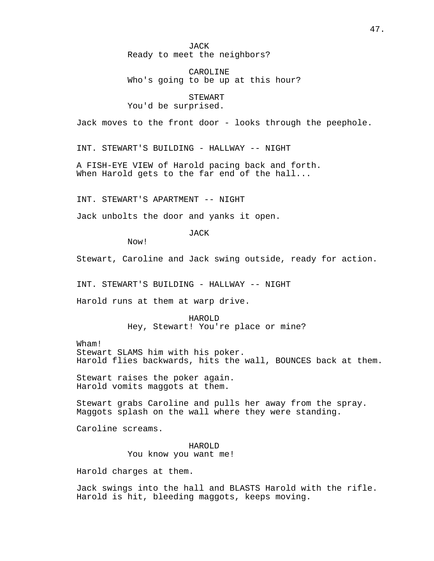JACK Ready to meet the neighbors?

CAROLINE Who's going to be up at this hour?

STEWART

You'd be surprised.

Jack moves to the front door - looks through the peephole.

INT. STEWART'S BUILDING - HALLWAY -- NIGHT

A FISH-EYE VIEW of Harold pacing back and forth. When Harold gets to the far end of the hall...

INT. STEWART'S APARTMENT -- NIGHT

Jack unbolts the door and yanks it open.

JACK

Now!

Stewart, Caroline and Jack swing outside, ready for action.

INT. STEWART'S BUILDING - HALLWAY -- NIGHT

Harold runs at them at warp drive.

HAROLD Hey, Stewart! You're place or mine?

Wham!

Stewart SLAMS him with his poker. Harold flies backwards, hits the wall, BOUNCES back at them.

Stewart raises the poker again. Harold vomits maggots at them.

Stewart grabs Caroline and pulls her away from the spray. Maggots splash on the wall where they were standing.

Caroline screams.

HAROLD You know you want me!

Harold charges at them.

Jack swings into the hall and BLASTS Harold with the rifle. Harold is hit, bleeding maggots, keeps moving.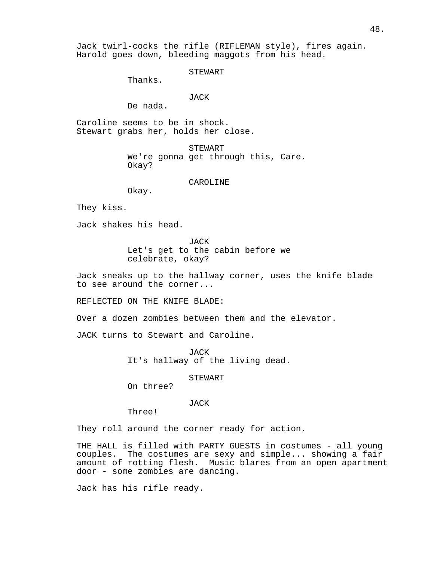Jack twirl-cocks the rifle (RIFLEMAN style), fires again. Harold goes down, bleeding maggots from his head.

STEWART

Thanks.

# JACK

De nada.

Caroline seems to be in shock. Stewart grabs her, holds her close.

> STEWART We're gonna get through this, Care. Okay?

### CAROLINE

Okay.

They kiss.

Jack shakes his head.

**JACK** Let's get to the cabin before we celebrate, okay?

Jack sneaks up to the hallway corner, uses the knife blade to see around the corner...

REFLECTED ON THE KNIFE BLADE:

Over a dozen zombies between them and the elevator.

JACK turns to Stewart and Caroline.

JACK It's hallway of the living dead.

### STEWART

On three?

### JACK

Three!

They roll around the corner ready for action.

THE HALL is filled with PARTY GUESTS in costumes - all young couples. The costumes are sexy and simple... showing a fair amount of rotting flesh. Music blares from an open apartment door - some zombies are dancing.

Jack has his rifle ready.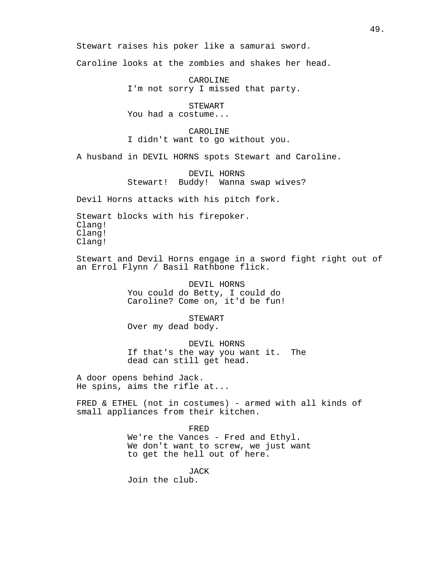Stewart raises his poker like a samurai sword.

Caroline looks at the zombies and shakes her head.

CAROLINE I'm not sorry I missed that party.

STEWART You had a costume...

CAROLINE I didn't want to go without you.

A husband in DEVIL HORNS spots Stewart and Caroline.

DEVIL HORNS Stewart! Buddy! Wanna swap wives?

Devil Horns attacks with his pitch fork.

Stewart blocks with his firepoker. Clang! Clang! Clang!

Stewart and Devil Horns engage in a sword fight right out of an Errol Flynn / Basil Rathbone flick.

> DEVIL HORNS You could do Betty, I could do Caroline? Come on, it'd be fun!

> > STEWART

Over my dead body.

DEVIL HORNS If that's the way you want it. The dead can still get head.

A door opens behind Jack. He spins, aims the rifle at...

FRED & ETHEL (not in costumes) - armed with all kinds of small appliances from their kitchen.

> FRED We're the Vances - Fred and Ethyl. We don't want to screw, we just want to get the hell out of here.

JACK Join the club.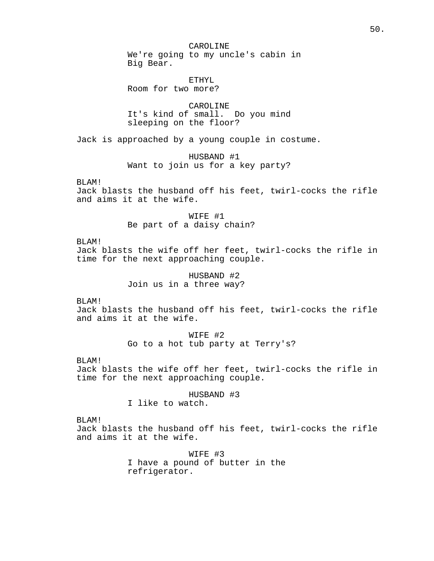CAROLINE We're going to my uncle's cabin in Big Bear.

ETHYL Room for two more?

CAROLINE It's kind of small. Do you mind sleeping on the floor?

Jack is approached by a young couple in costume.

HUSBAND #1 Want to join us for a key party?

BLAM!

Jack blasts the husband off his feet, twirl-cocks the rifle and aims it at the wife.

> WIFE #1 Be part of a daisy chain?

## BLAM!

Jack blasts the wife off her feet, twirl-cocks the rifle in time for the next approaching couple.

> HUSBAND #2 Join us in a three way?

BLAM!

Jack blasts the husband off his feet, twirl-cocks the rifle and aims it at the wife.

> WIFE #2 Go to a hot tub party at Terry's?

BLAM!

Jack blasts the wife off her feet, twirl-cocks the rifle in time for the next approaching couple.

HUSBAND #3

I like to watch.

BLAM!

Jack blasts the husband off his feet, twirl-cocks the rifle and aims it at the wife.

> WIFE #3 I have a pound of butter in the refrigerator.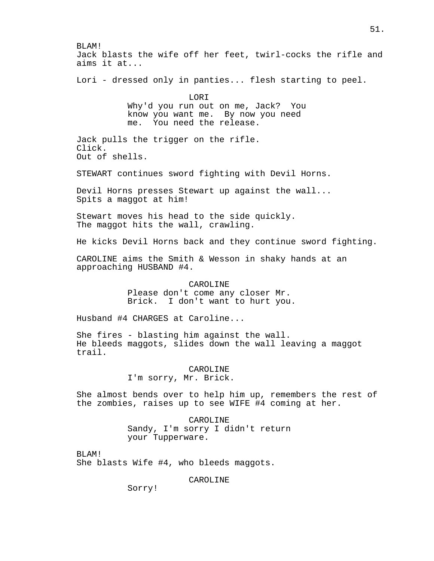BLAM! Jack blasts the wife off her feet, twirl-cocks the rifle and aims it at... Lori - dressed only in panties... flesh starting to peel. LORI Why'd you run out on me, Jack? You know you want me. By now you need me. You need the release. Jack pulls the trigger on the rifle. Click. Out of shells. STEWART continues sword fighting with Devil Horns. Devil Horns presses Stewart up against the wall... Spits a maggot at him! Stewart moves his head to the side quickly. The maggot hits the wall, crawling. He kicks Devil Horns back and they continue sword fighting. CAROLINE aims the Smith & Wesson in shaky hands at an approaching HUSBAND #4. CAROLINE Please don't come any closer Mr. Brick. I don't want to hurt you. Husband #4 CHARGES at Caroline... She fires - blasting him against the wall. He bleeds maggots, slides down the wall leaving a maggot trail. CAROLINE I'm sorry, Mr. Brick. She almost bends over to help him up, remembers the rest of the zombies, raises up to see WIFE #4 coming at her. CAROLINE Sandy, I'm sorry I didn't return your Tupperware. BLAM! She blasts Wife #4, who bleeds maggots. CAROLINE

Sorry!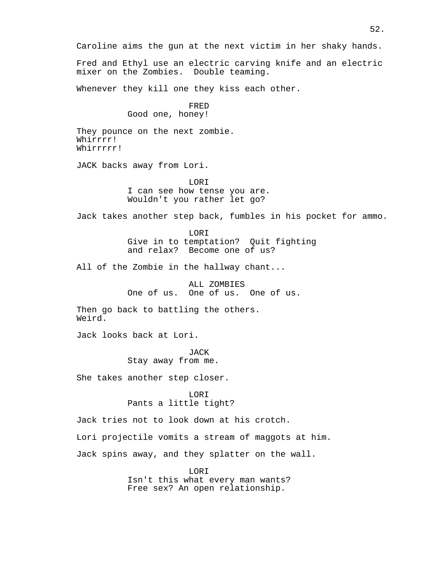Caroline aims the gun at the next victim in her shaky hands.

Fred and Ethyl use an electric carving knife and an electric mixer on the Zombies. Double teaming.

Whenever they kill one they kiss each other.

FRED Good one, honey!

They pounce on the next zombie. Whirrrr! Whirrrrr!

JACK backs away from Lori.

LORI I can see how tense you are. Wouldn't you rather let go?

Jack takes another step back, fumbles in his pocket for ammo.

LORI Give in to temptation? Quit fighting and relax? Become one of us?

All of the Zombie in the hallway chant...

ALL ZOMBIES One of us. One of us. One of us.

Then go back to battling the others. Weird.

Jack looks back at Lori.

**JACK** Stay away from me.

She takes another step closer.

LORI Pants a little tight?

Jack tries not to look down at his crotch.

Lori projectile vomits a stream of maggots at him.

Jack spins away, and they splatter on the wall.

LORI Isn't this what every man wants? Free sex? An open relationship.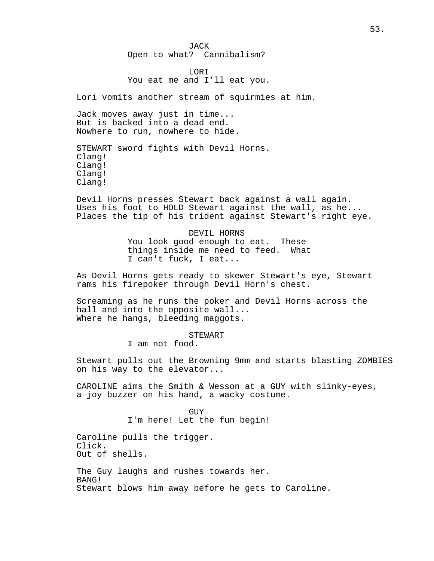## JACK Open to what? Cannibalism?

## LORI You eat me and I'll eat you.

Lori vomits another stream of squirmies at him.

Jack moves away just in time... But is backed into a dead end. Nowhere to run, nowhere to hide.

STEWART sword fights with Devil Horns. Clang! Clang! Clang! Clang!

Devil Horns presses Stewart back against a wall again. Uses his foot to HOLD Stewart against the wall, as he... Places the tip of his trident against Stewart's right eye.

# DEVIL HORNS You look good enough to eat. These things inside me need to feed. What I can't fuck, I eat...

As Devil Horns gets ready to skewer Stewart's eye, Stewart rams his firepoker through Devil Horn's chest.

Screaming as he runs the poker and Devil Horns across the hall and into the opposite wall... Where he hangs, bleeding maggots.

# STEWART

I am not food.

Stewart pulls out the Browning 9mm and starts blasting ZOMBIES on his way to the elevator...

CAROLINE aims the Smith & Wesson at a GUY with slinky-eyes, a joy buzzer on his hand, a wacky costume.

> GUY I'm here! Let the fun begin!

Caroline pulls the trigger. Click. Out of shells.

The Guy laughs and rushes towards her. BANG! Stewart blows him away before he gets to Caroline.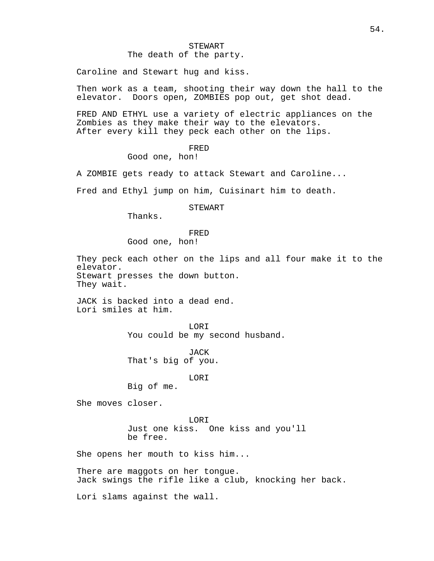The death of the party.

Caroline and Stewart hug and kiss.

Then work as a team, shooting their way down the hall to the elevator. Doors open, ZOMBIES pop out, get shot dead.

FRED AND ETHYL use a variety of electric appliances on the Zombies as they make their way to the elevators. After every kill they peck each other on the lips.

# FRED

Good one, hon!

A ZOMBIE gets ready to attack Stewart and Caroline...

Fred and Ethyl jump on him, Cuisinart him to death.

## STEWART

Thanks.

## FRED Good one, hon!

They peck each other on the lips and all four make it to the elevator. Stewart presses the down button. They wait.

JACK is backed into a dead end. Lori smiles at him.

> LORI You could be my second husband.

JACK That's big of you.

# LORI

Big of me.

She moves closer.

LORI Just one kiss. One kiss and you'll be free.

She opens her mouth to kiss him...

There are maggots on her tongue. Jack swings the rifle like a club, knocking her back.

Lori slams against the wall.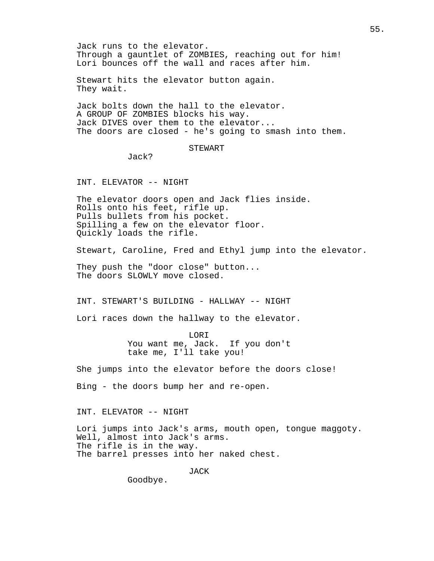Jack runs to the elevator. Through a gauntlet of ZOMBIES, reaching out for him! Lori bounces off the wall and races after him.

Stewart hits the elevator button again. They wait.

Jack bolts down the hall to the elevator. A GROUP OF ZOMBIES blocks his way. Jack DIVES over them to the elevator... The doors are closed - he's going to smash into them.

## STEWART

Jack?

INT. ELEVATOR -- NIGHT

The elevator doors open and Jack flies inside. Rolls onto his feet, rifle up. Pulls bullets from his pocket. Spilling a few on the elevator floor. Quickly loads the rifle.

Stewart, Caroline, Fred and Ethyl jump into the elevator.

They push the "door close" button... The doors SLOWLY move closed.

INT. STEWART'S BUILDING - HALLWAY -- NIGHT

Lori races down the hallway to the elevator.

LORI You want me, Jack. If you don't take me, I'll take you!

She jumps into the elevator before the doors close!

Bing - the doors bump her and re-open.

INT. ELEVATOR -- NIGHT

Lori jumps into Jack's arms, mouth open, tongue maggoty. Well, almost into Jack's arms. The rifle is in the way. The barrel presses into her naked chest.

JACK

Goodbye.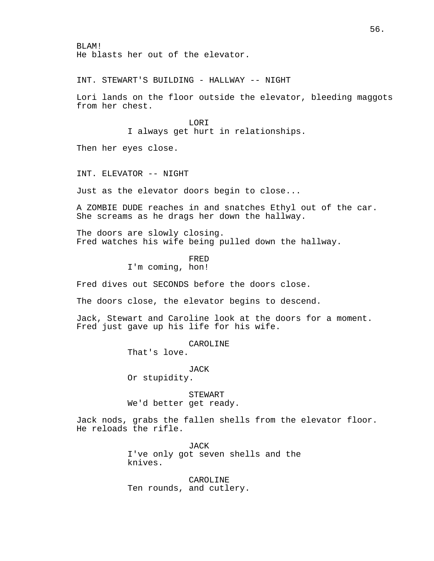BLAM! He blasts her out of the elevator.

INT. STEWART'S BUILDING - HALLWAY -- NIGHT

Lori lands on the floor outside the elevator, bleeding maggots from her chest.

LORI

I always get hurt in relationships.

Then her eyes close.

INT. ELEVATOR -- NIGHT

Just as the elevator doors begin to close...

A ZOMBIE DUDE reaches in and snatches Ethyl out of the car. She screams as he drags her down the hallway.

The doors are slowly closing. Fred watches his wife being pulled down the hallway.

> FRED I'm coming, hon!

Fred dives out SECONDS before the doors close.

The doors close, the elevator begins to descend.

Jack, Stewart and Caroline look at the doors for a moment. Fred just gave up his life for his wife.

> CAROLINE That's love.

> > JACK

Or stupidity.

STEWART We'd better get ready.

Jack nods, grabs the fallen shells from the elevator floor. He reloads the rifle.

> JACK I've only got seven shells and the knives.

CAROLINE Ten rounds, and cutlery.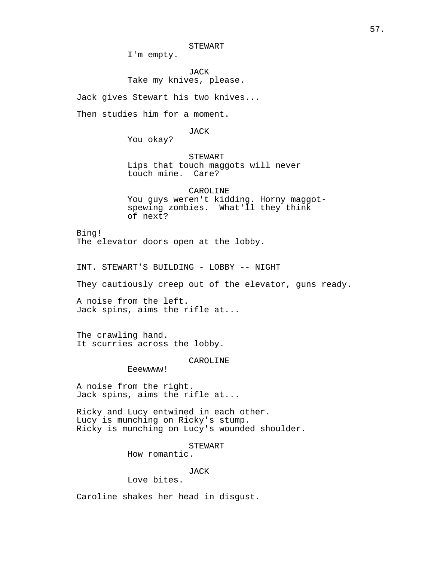I'm empty.

JACK Take my knives, please.

Jack gives Stewart his two knives...

Then studies him for a moment.

JACK

You okay?

STEWART Lips that touch maggots will never touch mine. Care?

CAROLINE You guys weren't kidding. Horny maggotspewing zombies. What'll they think of next?

Bing! The elevator doors open at the lobby.

INT. STEWART'S BUILDING - LOBBY -- NIGHT

They cautiously creep out of the elevator, guns ready.

A noise from the left. Jack spins, aims the rifle at...

The crawling hand. It scurries across the lobby.

CAROLINE

Eeewwww!

A noise from the right. Jack spins, aims the rifle at...

Ricky and Lucy entwined in each other. Lucy is munching on Ricky's stump. Ricky is munching on Lucy's wounded shoulder.

STEWART

How romantic.

# JACK

Love bites.

Caroline shakes her head in disgust.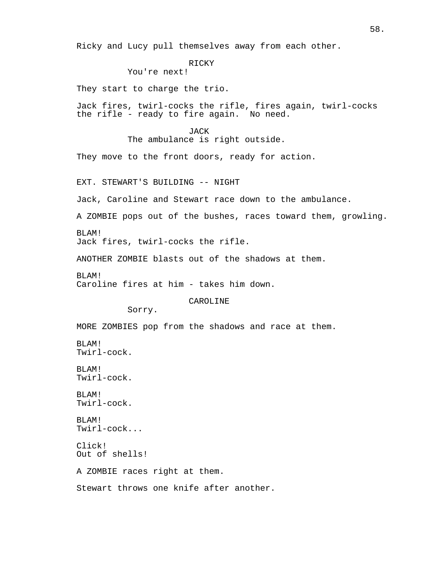Ricky and Lucy pull themselves away from each other.

RICKY

```
You're next!
```
They start to charge the trio.

Jack fires, twirl-cocks the rifle, fires again, twirl-cocks the rifle - ready to fire again. No need.

> JACK The ambulance is right outside.

They move to the front doors, ready for action.

EXT. STEWART'S BUILDING -- NIGHT

Jack, Caroline and Stewart race down to the ambulance.

A ZOMBIE pops out of the bushes, races toward them, growling.

BLAM! Jack fires, twirl-cocks the rifle.

ANOTHER ZOMBIE blasts out of the shadows at them.

BLAM! Caroline fires at him - takes him down.

CAROLINE

Sorry.

MORE ZOMBIES pop from the shadows and race at them.

BLAM! Twirl-cock.

BLAM! Twirl-cock.

BLAM! Twirl-cock.

BLAM! Twirl-cock...

Click! Out of shells!

A ZOMBIE races right at them.

Stewart throws one knife after another.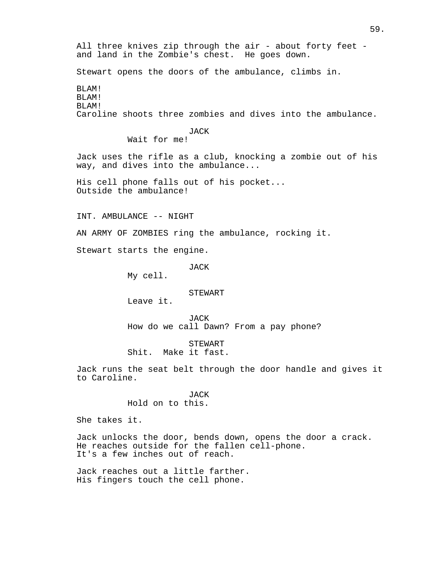All three knives zip through the air - about forty feet and land in the Zombie's chest. He goes down. Stewart opens the doors of the ambulance, climbs in. BLAM! BLAM! BLAM! Caroline shoots three zombies and dives into the ambulance. JACK Wait for me! Jack uses the rifle as a club, knocking a zombie out of his way, and dives into the ambulance... His cell phone falls out of his pocket... Outside the ambulance! INT. AMBULANCE -- NIGHT AN ARMY OF ZOMBIES ring the ambulance, rocking it. Stewart starts the engine. JACK My cell. STEWART Leave it. JACK How do we call Dawn? From a pay phone? STEWART Shit. Make it fast. Jack runs the seat belt through the door handle and gives it to Caroline. JACK Hold on to this. She takes it. Jack unlocks the door, bends down, opens the door a crack. He reaches outside for the fallen cell-phone. It's a few inches out of reach. Jack reaches out a little farther.

His fingers touch the cell phone.

# 59.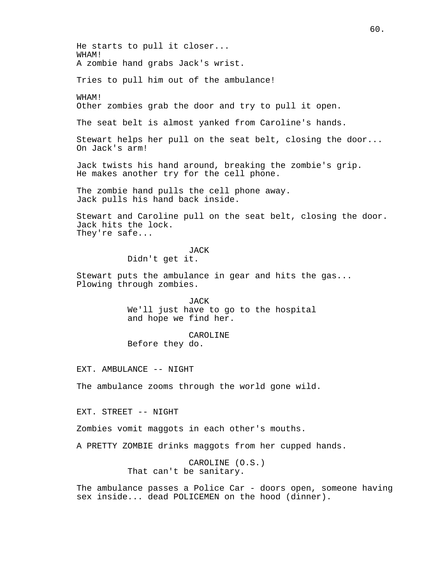He starts to pull it closer... WHAM! A zombie hand grabs Jack's wrist. Tries to pull him out of the ambulance! WHAM! Other zombies grab the door and try to pull it open. The seat belt is almost yanked from Caroline's hands. Stewart helps her pull on the seat belt, closing the door... On Jack's arm! Jack twists his hand around, breaking the zombie's grip. He makes another try for the cell phone. The zombie hand pulls the cell phone away. Jack pulls his hand back inside. Stewart and Caroline pull on the seat belt, closing the door. Jack hits the lock. They're safe... JACK Didn't get it. Stewart puts the ambulance in gear and hits the gas... Plowing through zombies. JACK We'll just have to go to the hospital and hope we find her. CAROLINE Before they do. EXT. AMBULANCE -- NIGHT The ambulance zooms through the world gone wild. EXT. STREET -- NIGHT Zombies vomit maggots in each other's mouths. A PRETTY ZOMBIE drinks maggots from her cupped hands. CAROLINE (O.S.) That can't be sanitary.

60.

The ambulance passes a Police Car - doors open, someone having sex inside... dead POLICEMEN on the hood (dinner).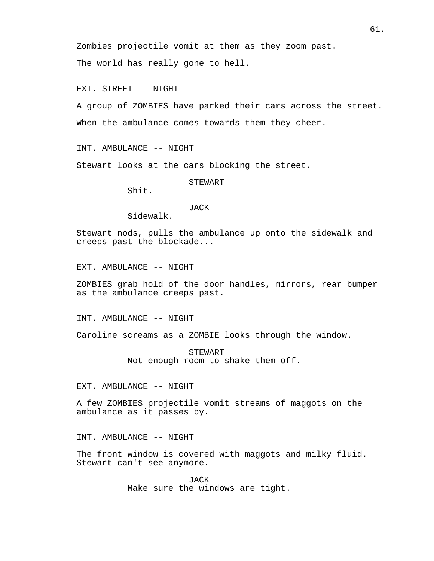Zombies projectile vomit at them as they zoom past.

The world has really gone to hell.

EXT. STREET -- NIGHT

A group of ZOMBIES have parked their cars across the street. When the ambulance comes towards them they cheer.

INT. AMBULANCE -- NIGHT

Stewart looks at the cars blocking the street.

STEWART

Shit.

### JACK

Sidewalk.

Stewart nods, pulls the ambulance up onto the sidewalk and creeps past the blockade...

EXT. AMBULANCE -- NIGHT

ZOMBIES grab hold of the door handles, mirrors, rear bumper as the ambulance creeps past.

INT. AMBULANCE -- NIGHT

Caroline screams as a ZOMBIE looks through the window.

STEWART Not enough room to shake them off.

EXT. AMBULANCE -- NIGHT

A few ZOMBIES projectile vomit streams of maggots on the ambulance as it passes by.

INT. AMBULANCE -- NIGHT

The front window is covered with maggots and milky fluid. Stewart can't see anymore.

> JACK Make sure the windows are tight.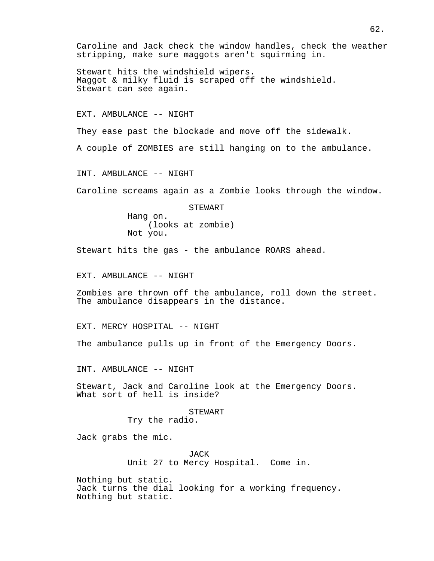Caroline and Jack check the window handles, check the weather stripping, make sure maggots aren't squirming in.

Stewart hits the windshield wipers. Maggot & milky fluid is scraped off the windshield. Stewart can see again.

EXT. AMBULANCE -- NIGHT

They ease past the blockade and move off the sidewalk.

A couple of ZOMBIES are still hanging on to the ambulance.

INT. AMBULANCE -- NIGHT

Caroline screams again as a Zombie looks through the window.

STEWART Hang on. (looks at zombie) Not you.

Stewart hits the gas - the ambulance ROARS ahead.

EXT. AMBULANCE -- NIGHT

Zombies are thrown off the ambulance, roll down the street. The ambulance disappears in the distance.

EXT. MERCY HOSPITAL -- NIGHT

The ambulance pulls up in front of the Emergency Doors.

INT. AMBULANCE -- NIGHT

Stewart, Jack and Caroline look at the Emergency Doors. What sort of hell is inside?

### STEWART

Try the radio.

Jack grabs the mic.

JACK Unit 27 to Mercy Hospital. Come in.

Nothing but static. Jack turns the dial looking for a working frequency. Nothing but static.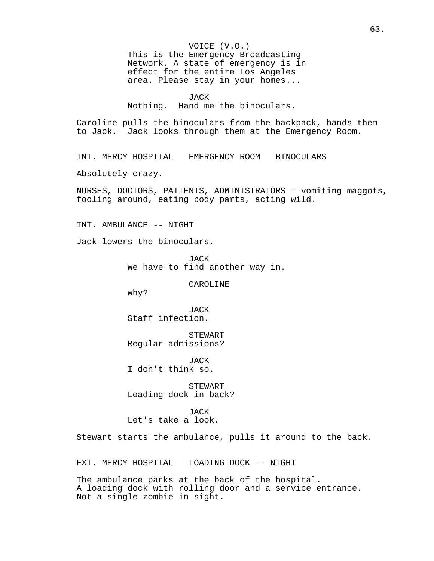This is the Emergency Broadcasting Network. A state of emergency is in effect for the entire Los Angeles area. Please stay in your homes...

```
JACK
```
Nothing. Hand me the binoculars.

Caroline pulls the binoculars from the backpack, hands them to Jack. Jack looks through them at the Emergency Room.

INT. MERCY HOSPITAL - EMERGENCY ROOM - BINOCULARS

Absolutely crazy.

NURSES, DOCTORS, PATIENTS, ADMINISTRATORS - vomiting maggots, fooling around, eating body parts, acting wild.

INT. AMBULANCE -- NIGHT

Jack lowers the binoculars.

JACK We have to find another way in.

CAROLINE

Why?

JACK Staff infection.

STEWART Regular admissions?

JACK I don't think so.

STEWART Loading dock in back?

JACK Let's take a look.

Stewart starts the ambulance, pulls it around to the back.

EXT. MERCY HOSPITAL - LOADING DOCK -- NIGHT

The ambulance parks at the back of the hospital. A loading dock with rolling door and a service entrance. Not a single zombie in sight.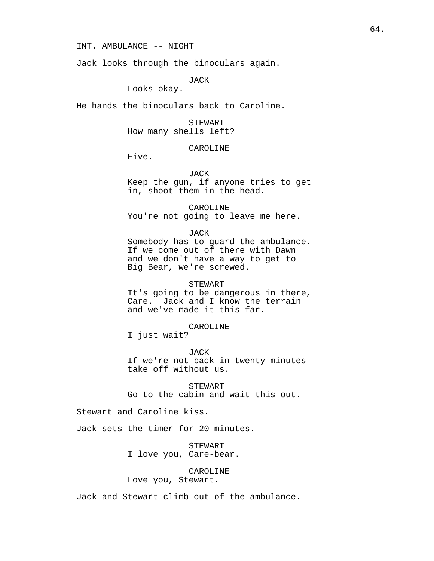INT. AMBULANCE -- NIGHT

Jack looks through the binoculars again.

JACK

Looks okay.

He hands the binoculars back to Caroline.

STEWART How many shells left?

## CAROLINE

Five.

## JACK

Keep the gun, if anyone tries to get in, shoot them in the head.

CAROLINE You're not going to leave me here.

JACK

Somebody has to guard the ambulance. If we come out of there with Dawn and we don't have a way to get to Big Bear, we're screwed.

### STEWART

It's going to be dangerous in there, Care. Jack and I know the terrain and we've made it this far.

CAROLINE

I just wait?

JACK

If we're not back in twenty minutes take off without us.

STEWART Go to the cabin and wait this out.

Stewart and Caroline kiss.

Jack sets the timer for 20 minutes.

STEWART I love you, Care-bear.

## CAROLINE

Love you, Stewart.

Jack and Stewart climb out of the ambulance.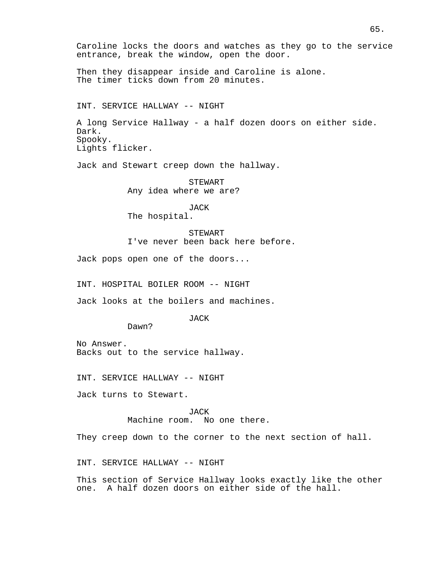Then they disappear inside and Caroline is alone. The timer ticks down from 20 minutes.

INT. SERVICE HALLWAY -- NIGHT

A long Service Hallway - a half dozen doors on either side. Dark. Spooky. Lights flicker.

Jack and Stewart creep down the hallway.

STEWART Any idea where we are?

JACK The hospital.

STEWART I've never been back here before.

Jack pops open one of the doors...

INT. HOSPITAL BOILER ROOM -- NIGHT

Jack looks at the boilers and machines.

JACK

Dawn?

No Answer. Backs out to the service hallway.

INT. SERVICE HALLWAY -- NIGHT

Jack turns to Stewart.

JACK Machine room. No one there.

They creep down to the corner to the next section of hall.

INT. SERVICE HALLWAY -- NIGHT

This section of Service Hallway looks exactly like the other one. A half dozen doors on either side of the hall.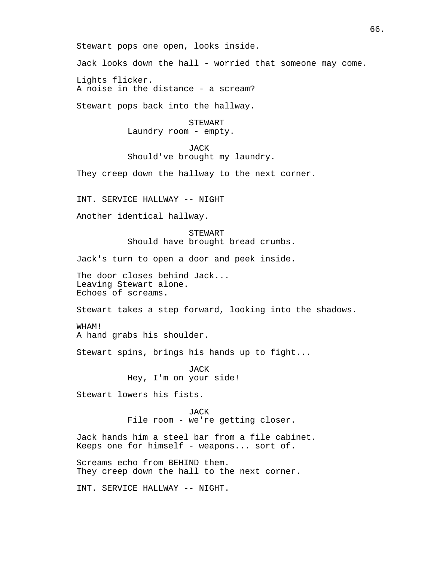Stewart pops one open, looks inside.

Jack looks down the hall - worried that someone may come.

Lights flicker. A noise in the distance - a scream?

Stewart pops back into the hallway.

STEWART Laundry room - empty.

JACK

Should've brought my laundry.

They creep down the hallway to the next corner.

INT. SERVICE HALLWAY -- NIGHT

Another identical hallway.

STEWART Should have brought bread crumbs.

Jack's turn to open a door and peek inside.

The door closes behind Jack... Leaving Stewart alone. Echoes of screams.

Stewart takes a step forward, looking into the shadows.

WHAM! A hand grabs his shoulder.

Stewart spins, brings his hands up to fight...

JACK Hey, I'm on your side!

Stewart lowers his fists.

JACK File room - we're getting closer.

Jack hands him a steel bar from a file cabinet. Keeps one for himself - weapons... sort of.

Screams echo from BEHIND them. They creep down the hall to the next corner.

INT. SERVICE HALLWAY -- NIGHT.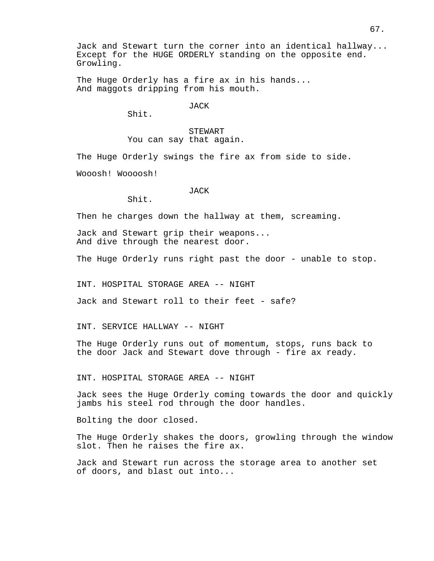Jack and Stewart turn the corner into an identical hallway... Except for the HUGE ORDERLY standing on the opposite end. Growling.

The Huge Orderly has a fire ax in his hands... And maggots dripping from his mouth.

JACK

Shit.

STEWART You can say that again.

The Huge Orderly swings the fire ax from side to side.

Wooosh! Woooosh!

## JACK

Shit.

Then he charges down the hallway at them, screaming.

Jack and Stewart grip their weapons... And dive through the nearest door.

The Huge Orderly runs right past the door - unable to stop.

INT. HOSPITAL STORAGE AREA -- NIGHT

Jack and Stewart roll to their feet - safe?

INT. SERVICE HALLWAY -- NIGHT

The Huge Orderly runs out of momentum, stops, runs back to the door Jack and Stewart dove through - fire ax ready.

INT. HOSPITAL STORAGE AREA -- NIGHT

Jack sees the Huge Orderly coming towards the door and quickly jambs his steel rod through the door handles.

Bolting the door closed.

The Huge Orderly shakes the doors, growling through the window slot. Then he raises the fire ax.

Jack and Stewart run across the storage area to another set of doors, and blast out into...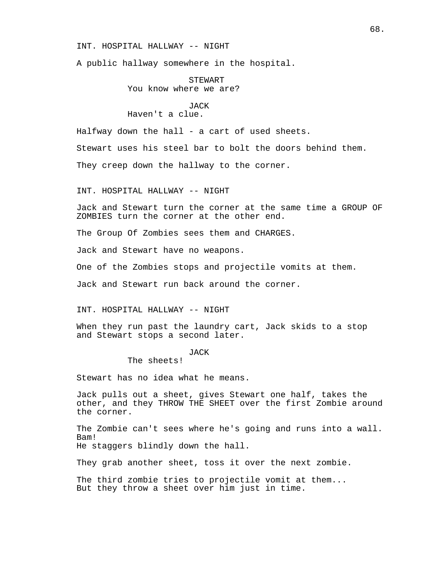### INT. HOSPITAL HALLWAY -- NIGHT

A public hallway somewhere in the hospital.

STEWART You know where we are?

JACK Haven't a clue.

Halfway down the hall - a cart of used sheets.

Stewart uses his steel bar to bolt the doors behind them.

They creep down the hallway to the corner.

INT. HOSPITAL HALLWAY -- NIGHT

Jack and Stewart turn the corner at the same time a GROUP OF ZOMBIES turn the corner at the other end.

The Group Of Zombies sees them and CHARGES.

Jack and Stewart have no weapons.

One of the Zombies stops and projectile vomits at them.

Jack and Stewart run back around the corner.

INT. HOSPITAL HALLWAY -- NIGHT

When they run past the laundry cart, Jack skids to a stop and Stewart stops a second later.

## JACK

The sheets!

Stewart has no idea what he means.

Jack pulls out a sheet, gives Stewart one half, takes the other, and they THROW THE SHEET over the first Zombie around the corner.

The Zombie can't sees where he's going and runs into a wall. Bam!

He staggers blindly down the hall.

They grab another sheet, toss it over the next zombie.

The third zombie tries to projectile vomit at them... But they throw a sheet over him just in time.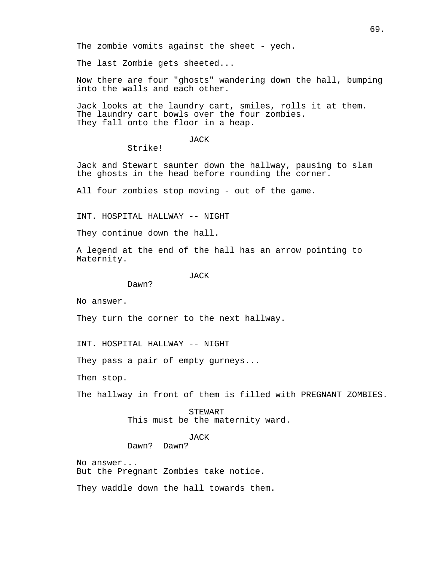The zombie vomits against the sheet - yech.

The last Zombie gets sheeted...

Now there are four "ghosts" wandering down the hall, bumping into the walls and each other.

Jack looks at the laundry cart, smiles, rolls it at them. The laundry cart bowls over the four zombies. They fall onto the floor in a heap.

## JACK

Strike!

Jack and Stewart saunter down the hallway, pausing to slam the ghosts in the head before rounding the corner.

All four zombies stop moving - out of the game.

INT. HOSPITAL HALLWAY -- NIGHT

They continue down the hall.

A legend at the end of the hall has an arrow pointing to Maternity.

JACK

Dawn?

No answer.

They turn the corner to the next hallway.

INT. HOSPITAL HALLWAY -- NIGHT

They pass a pair of empty gurneys...

Then stop.

The hallway in front of them is filled with PREGNANT ZOMBIES.

STEWART This must be the maternity ward.

JACK

Dawn? Dawn?

No answer... But the Pregnant Zombies take notice.

They waddle down the hall towards them.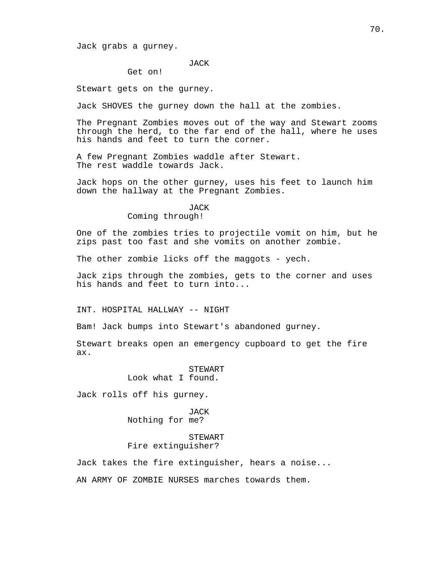Jack grabs a gurney.

JACK

Get on!

Stewart gets on the gurney.

Jack SHOVES the gurney down the hall at the zombies.

The Pregnant Zombies moves out of the way and Stewart zooms through the herd, to the far end of the hall, where he uses his hands and feet to turn the corner.

A few Pregnant Zombies waddle after Stewart. The rest waddle towards Jack.

Jack hops on the other gurney, uses his feet to launch him down the hallway at the Pregnant Zombies.

### JACK

### Coming through!

One of the zombies tries to projectile vomit on him, but he zips past too fast and she vomits on another zombie.

The other zombie licks off the maggots - yech.

Jack zips through the zombies, gets to the corner and uses his hands and feet to turn into...

INT. HOSPITAL HALLWAY -- NIGHT

Bam! Jack bumps into Stewart's abandoned gurney.

Stewart breaks open an emergency cupboard to get the fire ax.

> STEWART Look what I found.

Jack rolls off his gurney.

JACK Nothing for me?

# STEWART Fire extinguisher?

Jack takes the fire extinguisher, hears a noise...

AN ARMY OF ZOMBIE NURSES marches towards them.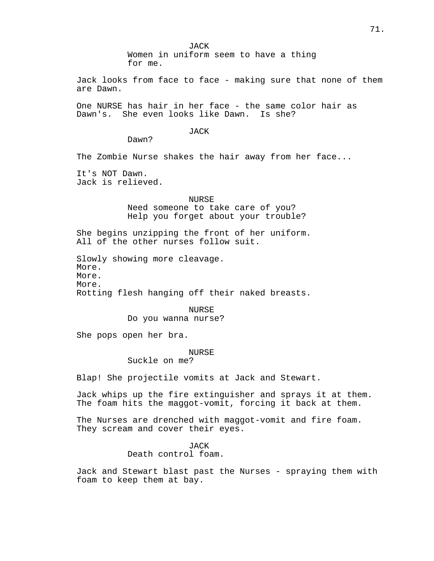JACK Women in uniform seem to have a thing for me.

Jack looks from face to face - making sure that none of them are Dawn.

One NURSE has hair in her face - the same color hair as Dawn's. She even looks like Dawn. Is she?

### JACK

Dawn?

The Zombie Nurse shakes the hair away from her face...

It's NOT Dawn. Jack is relieved.

> NURSE Need someone to take care of you? Help you forget about your trouble?

She begins unzipping the front of her uniform. All of the other nurses follow suit.

Slowly showing more cleavage. More. More. More. Rotting flesh hanging off their naked breasts.

> NURSE Do you wanna nurse?

She pops open her bra.

### NURSE

Suckle on me?

Blap! She projectile vomits at Jack and Stewart.

Jack whips up the fire extinguisher and sprays it at them. The foam hits the maggot-vomit, forcing it back at them.

The Nurses are drenched with maggot-vomit and fire foam. They scream and cover their eyes.

> JACK Death control foam.

Jack and Stewart blast past the Nurses - spraying them with foam to keep them at bay.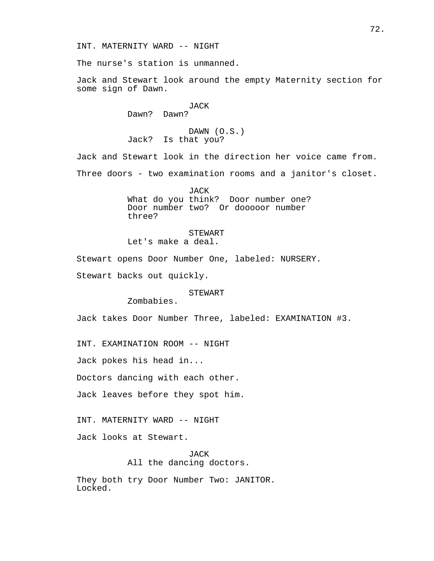The nurse's station is unmanned.

Jack and Stewart look around the empty Maternity section for some sign of Dawn.

## JACK

Dawn? Dawn?

DAWN (O.S.) Jack? Is that you?

Jack and Stewart look in the direction her voice came from. Three doors - two examination rooms and a janitor's closet.

> JACK What do you think? Door number one? Door number two? Or dooooor number three?

STEWART Let's make a deal.

Stewart opens Door Number One, labeled: NURSERY.

Stewart backs out quickly.

## STEWART

Zombabies.

Jack takes Door Number Three, labeled: EXAMINATION #3.

INT. EXAMINATION ROOM -- NIGHT

Jack pokes his head in...

Doctors dancing with each other.

Jack leaves before they spot him.

INT. MATERNITY WARD -- NIGHT

Jack looks at Stewart.

JACK All the dancing doctors.

They both try Door Number Two: JANITOR. Locked.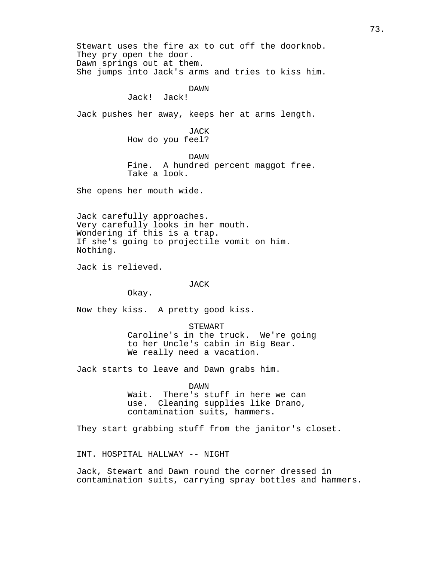Stewart uses the fire ax to cut off the doorknob. They pry open the door. Dawn springs out at them. She jumps into Jack's arms and tries to kiss him. DAWN Jack! Jack! Jack pushes her away, keeps her at arms length. JACK How do you feel? DAWN Fine. A hundred percent maggot free. Take a look. She opens her mouth wide. Jack carefully approaches. Very carefully looks in her mouth. Wondering if this is a trap. If she's going to projectile vomit on him. Nothing. Jack is relieved. JACK Okay. Now they kiss. A pretty good kiss. STEWART Caroline's in the truck. We're going to her Uncle's cabin in Big Bear. We really need a vacation. Jack starts to leave and Dawn grabs him. DAWN Wait. There's stuff in here we can use. Cleaning supplies like Drano, contamination suits, hammers. They start grabbing stuff from the janitor's closet. INT. HOSPITAL HALLWAY -- NIGHT

Jack, Stewart and Dawn round the corner dressed in contamination suits, carrying spray bottles and hammers.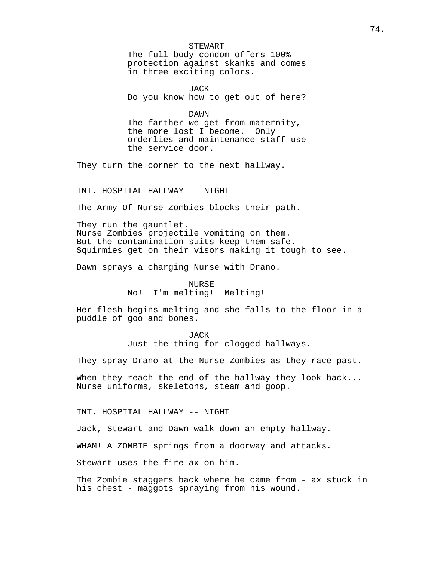## STEWART

The full body condom offers 100% protection against skanks and comes in three exciting colors.

JACK Do you know how to get out of here?

DAWN

The farther we get from maternity, the more lost I become. Only orderlies and maintenance staff use the service door.

They turn the corner to the next hallway.

INT. HOSPITAL HALLWAY -- NIGHT

The Army Of Nurse Zombies blocks their path.

They run the gauntlet. Nurse Zombies projectile vomiting on them. But the contamination suits keep them safe. Squirmies get on their visors making it tough to see.

Dawn sprays a charging Nurse with Drano.

NURSE No! I'm melting! Melting!

Her flesh begins melting and she falls to the floor in a puddle of goo and bones.

> **JACK** Just the thing for clogged hallways.

They spray Drano at the Nurse Zombies as they race past.

When they reach the end of the hallway they look back... Nurse uniforms, skeletons, steam and goop.

INT. HOSPITAL HALLWAY -- NIGHT

Jack, Stewart and Dawn walk down an empty hallway.

WHAM! A ZOMBIE springs from a doorway and attacks.

Stewart uses the fire ax on him.

The Zombie staggers back where he came from - ax stuck in his chest - maggots spraying from his wound.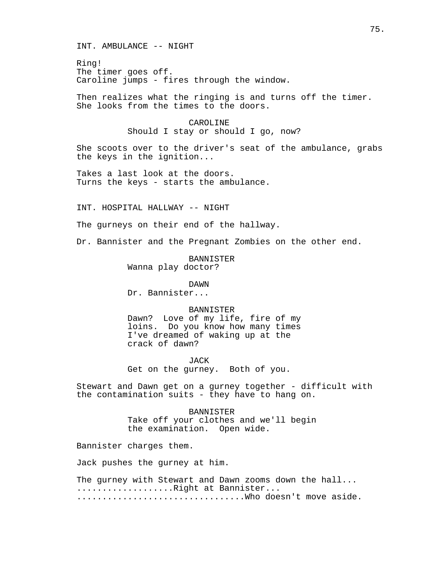INT. AMBULANCE -- NIGHT

Ring! The timer goes off. Caroline jumps - fires through the window.

Then realizes what the ringing is and turns off the timer. She looks from the times to the doors.

## CAROLINE

Should I stay or should I go, now?

She scoots over to the driver's seat of the ambulance, grabs the keys in the ignition...

Takes a last look at the doors. Turns the keys - starts the ambulance.

INT. HOSPITAL HALLWAY -- NIGHT

The gurneys on their end of the hallway.

Dr. Bannister and the Pregnant Zombies on the other end.

BANNISTER Wanna play doctor?

DAWN

Dr. Bannister...

## BANNISTER

Dawn? Love of my life, fire of my loins. Do you know how many times I've dreamed of waking up at the crack of dawn?

JACK Get on the gurney. Both of you.

Stewart and Dawn get on a gurney together - difficult with the contamination suits - they have to hang on.

> BANNISTER Take off your clothes and we'll begin the examination. Open wide.

Bannister charges them.

Jack pushes the gurney at him.

The gurney with Stewart and Dawn zooms down the hall... ...................Right at Bannister... .................................Who doesn't move aside.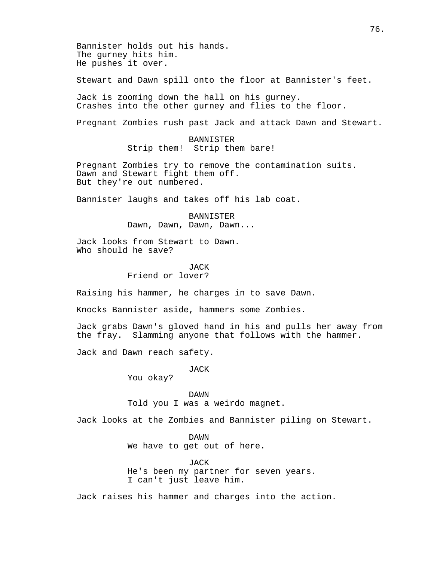Bannister holds out his hands. The gurney hits him. He pushes it over.

Stewart and Dawn spill onto the floor at Bannister's feet.

Jack is zooming down the hall on his gurney. Crashes into the other gurney and flies to the floor.

Pregnant Zombies rush past Jack and attack Dawn and Stewart.

BANNISTER Strip them! Strip them bare!

Pregnant Zombies try to remove the contamination suits. Dawn and Stewart fight them off. But they're out numbered.

Bannister laughs and takes off his lab coat.

BANNISTER Dawn, Dawn, Dawn, Dawn...

Jack looks from Stewart to Dawn. Who should he save?

JACK

Friend or lover?

Raising his hammer, he charges in to save Dawn.

Knocks Bannister aside, hammers some Zombies.

Jack grabs Dawn's gloved hand in his and pulls her away from the fray. Slamming anyone that follows with the hammer.

Jack and Dawn reach safety.

JACK

You okay?

DAWN Told you I was a weirdo magnet.

Jack looks at the Zombies and Bannister piling on Stewart.

DAWN We have to get out of here.

JACK He's been my partner for seven years. I can't just leave him.

Jack raises his hammer and charges into the action.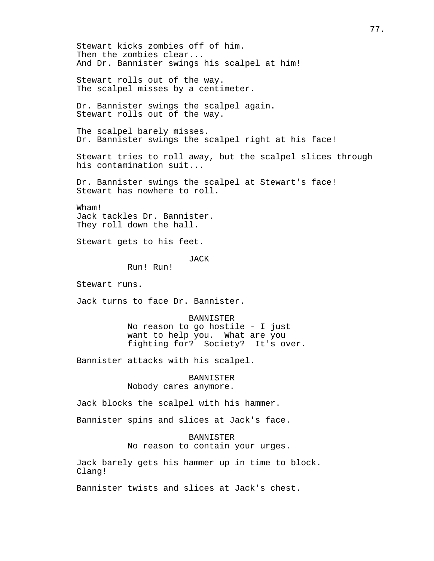Stewart kicks zombies off of him. Then the zombies clear... And Dr. Bannister swings his scalpel at him! Stewart rolls out of the way. The scalpel misses by a centimeter. Dr. Bannister swings the scalpel again. Stewart rolls out of the way. The scalpel barely misses. Dr. Bannister swings the scalpel right at his face! Stewart tries to roll away, but the scalpel slices through his contamination suit... Dr. Bannister swings the scalpel at Stewart's face! Stewart has nowhere to roll. Wham! Jack tackles Dr. Bannister. They roll down the hall. Stewart gets to his feet. **JACK** Run! Run! Stewart runs. Jack turns to face Dr. Bannister. BANNISTER No reason to go hostile - I just want to help you. What are you fighting for? Society? It's over. Bannister attacks with his scalpel. BANNISTER Nobody cares anymore. Jack blocks the scalpel with his hammer. Bannister spins and slices at Jack's face. BANNISTER No reason to contain your urges. Jack barely gets his hammer up in time to block. Clang! Bannister twists and slices at Jack's chest.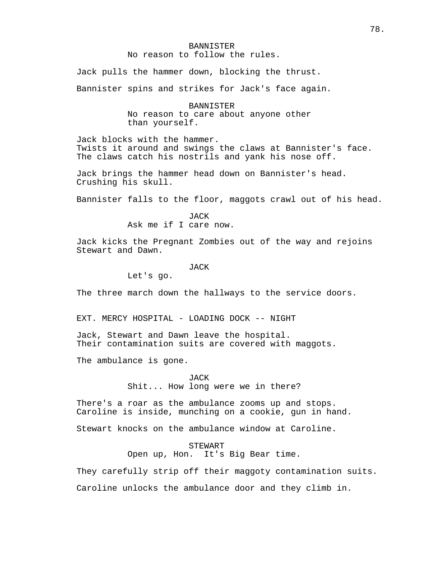## BANNISTER No reason to follow the rules.

Jack pulls the hammer down, blocking the thrust.

Bannister spins and strikes for Jack's face again.

BANNISTER No reason to care about anyone other than yourself.

Jack blocks with the hammer. Twists it around and swings the claws at Bannister's face. The claws catch his nostrils and yank his nose off.

Jack brings the hammer head down on Bannister's head. Crushing his skull.

Bannister falls to the floor, maggots crawl out of his head.

JACK Ask me if I care now.

Jack kicks the Pregnant Zombies out of the way and rejoins Stewart and Dawn.

JACK

Let's go.

The three march down the hallways to the service doors.

EXT. MERCY HOSPITAL - LOADING DOCK -- NIGHT

Jack, Stewart and Dawn leave the hospital. Their contamination suits are covered with maggots.

The ambulance is gone.

JACK

Shit... How long were we in there?

There's a roar as the ambulance zooms up and stops. Caroline is inside, munching on a cookie, gun in hand.

Stewart knocks on the ambulance window at Caroline.

STEWART

Open up, Hon. It's Big Bear time.

They carefully strip off their maggoty contamination suits.

Caroline unlocks the ambulance door and they climb in.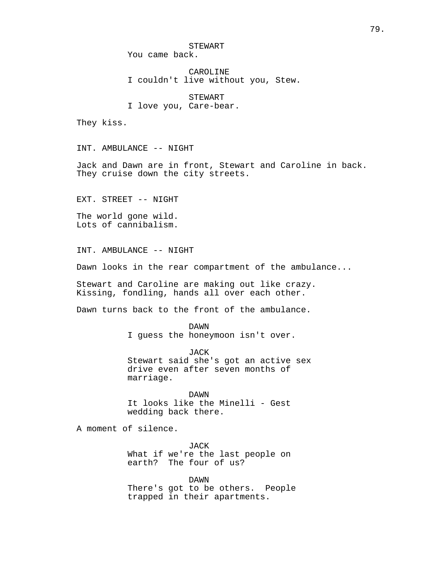STEWART

You came back.

CAROLINE I couldn't live without you, Stew.

STEWART I love you, Care-bear.

They kiss.

INT. AMBULANCE -- NIGHT

Jack and Dawn are in front, Stewart and Caroline in back. They cruise down the city streets.

EXT. STREET -- NIGHT

The world gone wild. Lots of cannibalism.

INT. AMBULANCE -- NIGHT

Dawn looks in the rear compartment of the ambulance...

Stewart and Caroline are making out like crazy. Kissing, fondling, hands all over each other.

Dawn turns back to the front of the ambulance.

DAWN I guess the honeymoon isn't over.

JACK Stewart said she's got an active sex drive even after seven months of marriage.

DAWN It looks like the Minelli - Gest wedding back there.

A moment of silence.

JACK What if we're the last people on earth? The four of us?

DAWN There's got to be others. People trapped in their apartments.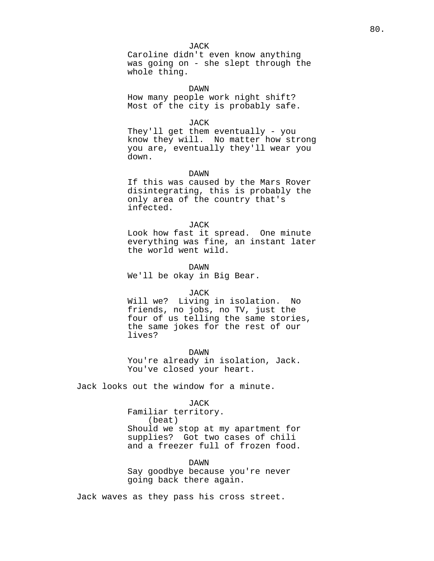#### JACK

Caroline didn't even know anything was going on - she slept through the whole thing.

DAWN

How many people work night shift? Most of the city is probably safe.

#### JACK

They'll get them eventually - you know they will. No matter how strong you are, eventually they'll wear you down.

#### DAWN

If this was caused by the Mars Rover disintegrating, this is probably the only area of the country that's infected.

#### JACK

Look how fast it spread. One minute everything was fine, an instant later the world went wild.

#### DAWN

We'll be okay in Big Bear.

#### JACK

Will we? Living in isolation. No friends, no jobs, no TV, just the four of us telling the same stories, the same jokes for the rest of our lives?

DAWN

You're already in isolation, Jack. You've closed your heart.

Jack looks out the window for a minute.

## JACK

Familiar territory. (beat) Should we stop at my apartment for supplies? Got two cases of chili and a freezer full of frozen food.

DAWN Say goodbye because you're never going back there again.

Jack waves as they pass his cross street.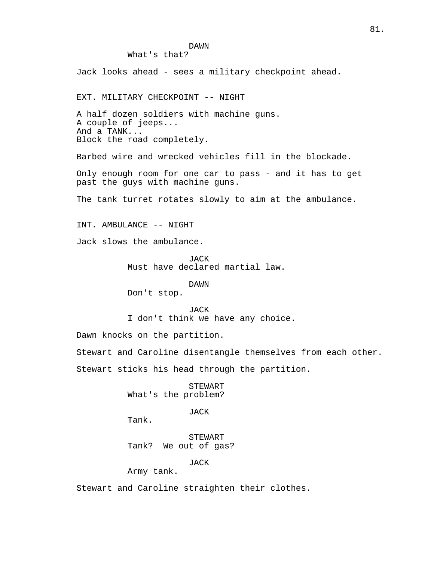## DAWN

What's that?

Jack looks ahead - sees a military checkpoint ahead.

EXT. MILITARY CHECKPOINT -- NIGHT

A half dozen soldiers with machine guns. A couple of jeeps... And a TANK... Block the road completely.

Barbed wire and wrecked vehicles fill in the blockade.

Only enough room for one car to pass - and it has to get past the guys with machine guns.

The tank turret rotates slowly to aim at the ambulance.

INT. AMBULANCE -- NIGHT

Jack slows the ambulance.

**JACK** Must have declared martial law.

## DAWN

Don't stop.

#### JACK

I don't think we have any choice.

Dawn knocks on the partition.

Stewart and Caroline disentangle themselves from each other.

Stewart sticks his head through the partition.

STEWART What's the problem?

JACK

Tank.

STEWART Tank? We out of gas?

JACK

Army tank.

Stewart and Caroline straighten their clothes.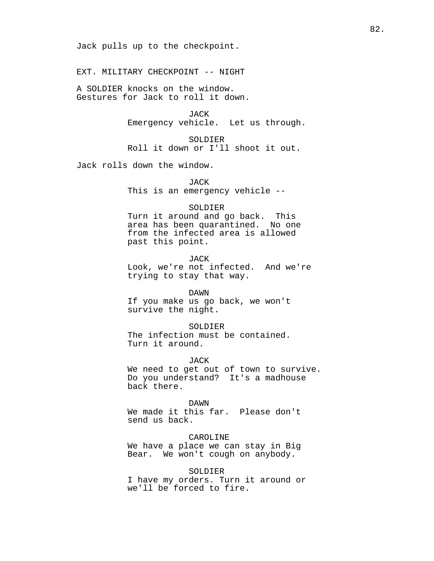Jack pulls up to the checkpoint.

EXT. MILITARY CHECKPOINT -- NIGHT

A SOLDIER knocks on the window. Gestures for Jack to roll it down.

> JACK Emergency vehicle. Let us through.

SOLDIER Roll it down or I'll shoot it out.

Jack rolls down the window.

JACK

This is an emergency vehicle --

#### SOLDIER

Turn it around and go back. This area has been quarantined. No one from the infected area is allowed past this point.

JACK

Look, we're not infected. And we're trying to stay that way.

### DAWN

If you make us go back, we won't survive the night.

#### SOLDIER

The infection must be contained. Turn it around.

#### JACK

We need to get out of town to survive. Do you understand? It's a madhouse back there.

#### DAWN

We made it this far. Please don't send us back.

# CAROLINE

We have a place we can stay in Big Bear. We won't cough on anybody.

## SOLDIER

I have my orders. Turn it around or we'll be forced to fire.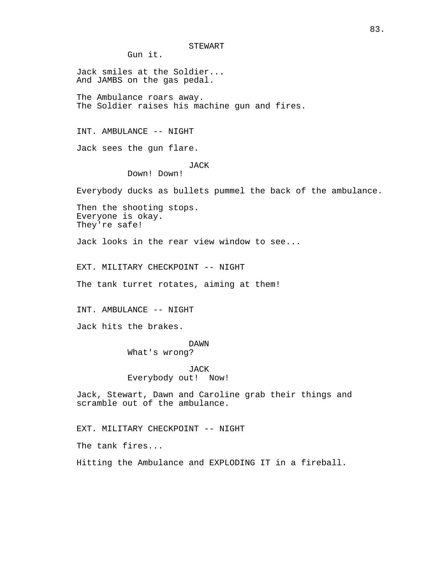STEWART

Gun it.

Jack smiles at the Soldier... And JAMBS on the gas pedal. The Ambulance roars away. The Soldier raises his machine gun and fires.

INT. AMBULANCE -- NIGHT

Jack sees the gun flare.

## JACK

Down! Down!

Everybody ducks as bullets pummel the back of the ambulance.

Then the shooting stops. Everyone is okay. They're safe!

Jack looks in the rear view window to see...

EXT. MILITARY CHECKPOINT -- NIGHT

The tank turret rotates, aiming at them!

INT. AMBULANCE -- NIGHT

Jack hits the brakes.

DAWN What's wrong?

JACK Everybody out! Now!

Jack, Stewart, Dawn and Caroline grab their things and scramble out of the ambulance.

EXT. MILITARY CHECKPOINT -- NIGHT

The tank fires...

Hitting the Ambulance and EXPLODING IT in a fireball.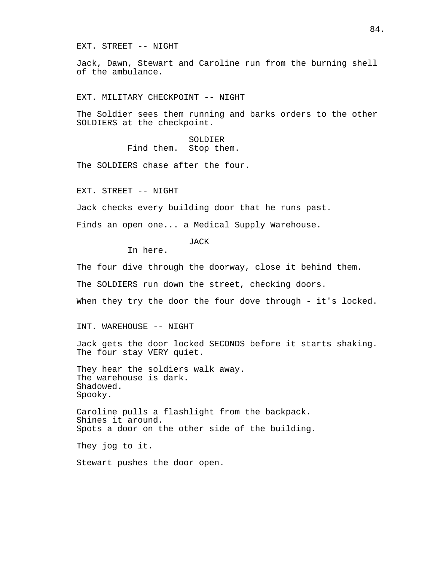EXT. STREET -- NIGHT

Jack, Dawn, Stewart and Caroline run from the burning shell of the ambulance.

EXT. MILITARY CHECKPOINT -- NIGHT

The Soldier sees them running and barks orders to the other SOLDIERS at the checkpoint.

> SOLDIER Find them. Stop them.

The SOLDIERS chase after the four.

EXT. STREET -- NIGHT

Jack checks every building door that he runs past.

Finds an open one... a Medical Supply Warehouse.

**JACK** 

In here.

The four dive through the doorway, close it behind them.

The SOLDIERS run down the street, checking doors.

When they try the door the four dove through - it's locked.

INT. WAREHOUSE -- NIGHT

Jack gets the door locked SECONDS before it starts shaking. The four stay VERY quiet.

They hear the soldiers walk away. The warehouse is dark. Shadowed. Spooky.

Caroline pulls a flashlight from the backpack. Shines it around. Spots a door on the other side of the building.

They jog to it.

Stewart pushes the door open.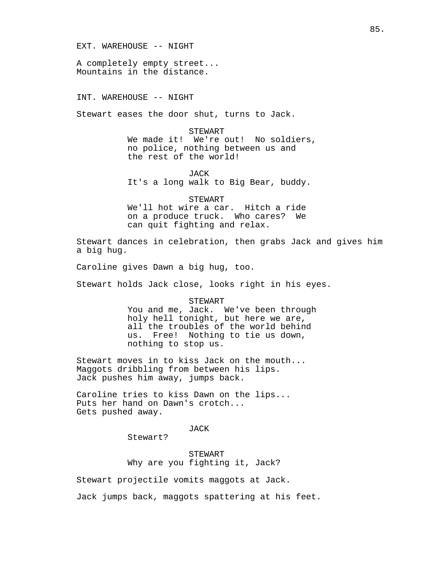## EXT. WAREHOUSE -- NIGHT

A completely empty street... Mountains in the distance.

## INT. WAREHOUSE -- NIGHT

Stewart eases the door shut, turns to Jack.

STEWART We made it! We're out! No soldiers, no police, nothing between us and the rest of the world!

JACK It's a long walk to Big Bear, buddy.

STEWART We'll hot wire a car. Hitch a ride on a produce truck. Who cares? We can quit fighting and relax.

Stewart dances in celebration, then grabs Jack and gives him a big hug.

Caroline gives Dawn a big hug, too.

Stewart holds Jack close, looks right in his eyes.

**STEWART** You and me, Jack. We've been through holy hell tonight, but here we are, all the troubles of the world behind us. Free! Nothing to tie us down, nothing to stop us.

Stewart moves in to kiss Jack on the mouth... Maggots dribbling from between his lips. Jack pushes him away, jumps back.

Caroline tries to kiss Dawn on the lips... Puts her hand on Dawn's crotch... Gets pushed away.

JACK

Stewart?

STEWART Why are you fighting it, Jack?

Stewart projectile vomits maggots at Jack.

Jack jumps back, maggots spattering at his feet.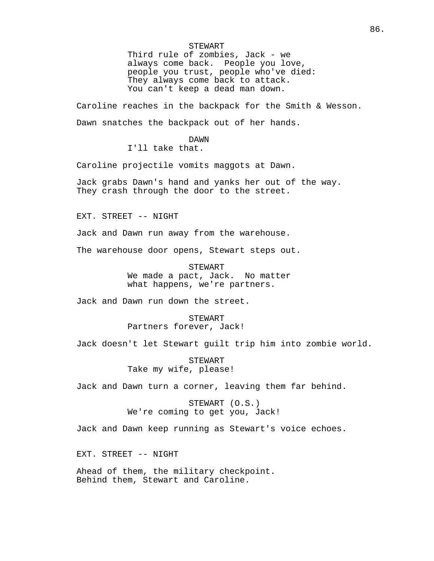STEWART

Third rule of zombies, Jack - we always come back. People you love, people you trust, people who've died: They always come back to attack. You can't keep a dead man down.

Caroline reaches in the backpack for the Smith & Wesson. Dawn snatches the backpack out of her hands.

DAWN

I'll take that.

Caroline projectile vomits maggots at Dawn.

Jack grabs Dawn's hand and yanks her out of the way. They crash through the door to the street.

EXT. STREET -- NIGHT

Jack and Dawn run away from the warehouse.

The warehouse door opens, Stewart steps out.

STEWART We made a pact, Jack. No matter what happens, we're partners.

Jack and Dawn run down the street.

STEWART Partners forever, Jack!

Jack doesn't let Stewart guilt trip him into zombie world.

STEWART Take my wife, please!

Jack and Dawn turn a corner, leaving them far behind.

STEWART (O.S.) We're coming to get you, Jack!

Jack and Dawn keep running as Stewart's voice echoes.

EXT. STREET -- NIGHT

Ahead of them, the military checkpoint. Behind them, Stewart and Caroline.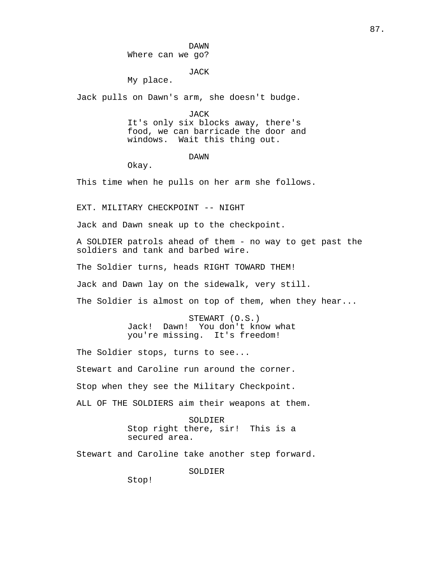## JACK

My place.

Jack pulls on Dawn's arm, she doesn't budge.

JACK It's only six blocks away, there's food, we can barricade the door and windows. Wait this thing out.

DAWN

Okay.

This time when he pulls on her arm she follows.

EXT. MILITARY CHECKPOINT -- NIGHT

Jack and Dawn sneak up to the checkpoint.

A SOLDIER patrols ahead of them - no way to get past the soldiers and tank and barbed wire.

The Soldier turns, heads RIGHT TOWARD THEM!

Jack and Dawn lay on the sidewalk, very still.

The Soldier is almost on top of them, when they hear...

STEWART (O.S.) Jack! Dawn! You don't know what you're missing. It's freedom!

The Soldier stops, turns to see... Stewart and Caroline run around the corner. Stop when they see the Military Checkpoint. ALL OF THE SOLDIERS aim their weapons at them.

> SOLDIER Stop right there, sir! This is a secured area.

Stewart and Caroline take another step forward.

SOLDIER

Stop!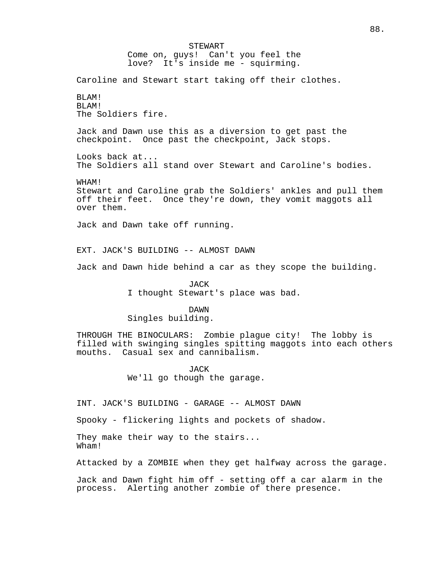STEWART Come on, guys! Can't you feel the love? It's inside me - squirming. Caroline and Stewart start taking off their clothes. BLAM! BLAM! The Soldiers fire. Jack and Dawn use this as a diversion to get past the checkpoint. Once past the checkpoint, Jack stops. Looks back at... The Soldiers all stand over Stewart and Caroline's bodies. WHAM! Stewart and Caroline grab the Soldiers' ankles and pull them off their feet. Once they're down, they vomit maggots all over them. Jack and Dawn take off running. EXT. JACK'S BUILDING -- ALMOST DAWN Jack and Dawn hide behind a car as they scope the building. JACK I thought Stewart's place was bad. DAWN Singles building. THROUGH THE BINOCULARS: Zombie plague city! The lobby is filled with swinging singles spitting maggots into each others mouths. Casual sex and cannibalism. **JACK** We'll go though the garage. INT. JACK'S BUILDING - GARAGE -- ALMOST DAWN Spooky - flickering lights and pockets of shadow. They make their way to the stairs... Wham! Attacked by a ZOMBIE when they get halfway across the garage.

Jack and Dawn fight him off - setting off a car alarm in the process. Alerting another zombie of there presence.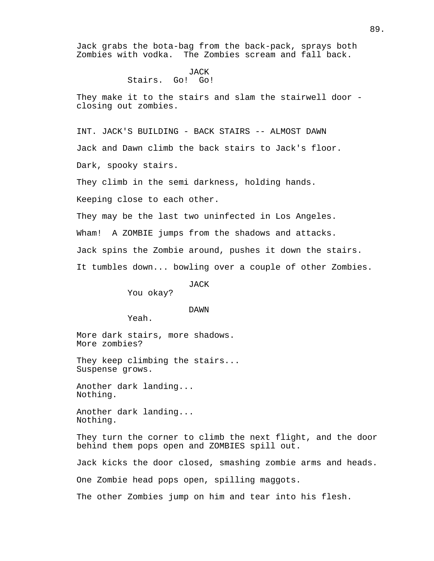Jack grabs the bota-bag from the back-pack, sprays both Zombies with vodka. The Zombies scream and fall back.

## JACK Stairs. Go! Go!

They make it to the stairs and slam the stairwell door closing out zombies.

INT. JACK'S BUILDING - BACK STAIRS -- ALMOST DAWN

Jack and Dawn climb the back stairs to Jack's floor.

Dark, spooky stairs.

They climb in the semi darkness, holding hands.

Keeping close to each other.

They may be the last two uninfected in Los Angeles.

Wham! A ZOMBIE jumps from the shadows and attacks.

Jack spins the Zombie around, pushes it down the stairs.

It tumbles down... bowling over a couple of other Zombies.

JACK

You okay?

DAWN

Yeah.

More dark stairs, more shadows. More zombies?

They keep climbing the stairs... Suspense grows.

Another dark landing... Nothing.

Another dark landing... Nothing.

They turn the corner to climb the next flight, and the door behind them pops open and ZOMBIES spill out.

Jack kicks the door closed, smashing zombie arms and heads.

One Zombie head pops open, spilling maggots.

The other Zombies jump on him and tear into his flesh.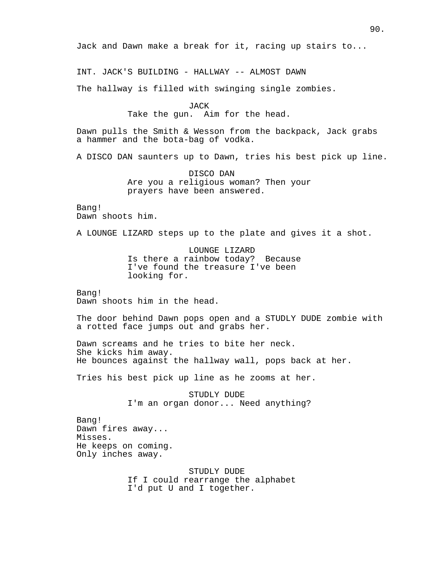Jack and Dawn make a break for it, racing up stairs to...

INT. JACK'S BUILDING - HALLWAY -- ALMOST DAWN

The hallway is filled with swinging single zombies.

JACK Take the gun. Aim for the head.

Dawn pulls the Smith & Wesson from the backpack, Jack grabs a hammer and the bota-bag of vodka.

A DISCO DAN saunters up to Dawn, tries his best pick up line.

DISCO DAN Are you a religious woman? Then your prayers have been answered.

Bang! Dawn shoots him.

A LOUNGE LIZARD steps up to the plate and gives it a shot.

LOUNGE LIZARD Is there a rainbow today? Because I've found the treasure I've been looking for.

Bang! Dawn shoots him in the head.

The door behind Dawn pops open and a STUDLY DUDE zombie with a rotted face jumps out and grabs her.

Dawn screams and he tries to bite her neck. She kicks him away. He bounces against the hallway wall, pops back at her.

Tries his best pick up line as he zooms at her.

STUDLY DUDE I'm an organ donor... Need anything?

Bang! Dawn fires away... Misses. He keeps on coming. Only inches away.

> STUDLY DUDE If I could rearrange the alphabet I'd put U and I together.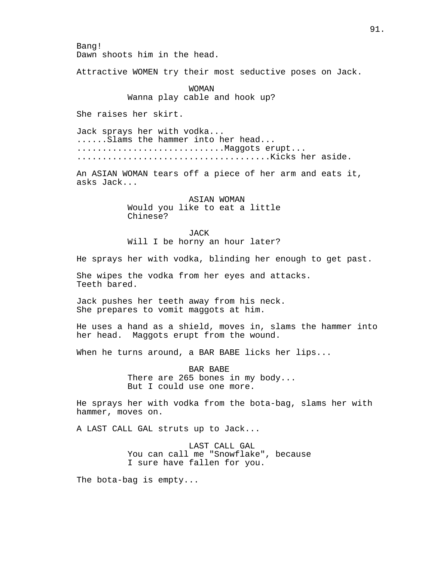Bang! Dawn shoots him in the head.

Attractive WOMEN try their most seductive poses on Jack.

WOMAN Wanna play cable and hook up?

She raises her skirt.

Jack sprays her with vodka... ......Slams the hammer into her head... ...............................Maggots erupt... ......................................Kicks her aside.

An ASIAN WOMAN tears off a piece of her arm and eats it, asks Jack...

> ASIAN WOMAN Would you like to eat a little Chinese?

> JACK Will I be horny an hour later?

He sprays her with vodka, blinding her enough to get past.

She wipes the vodka from her eyes and attacks. Teeth bared.

Jack pushes her teeth away from his neck. She prepares to vomit maggots at him.

He uses a hand as a shield, moves in, slams the hammer into her head. Maggots erupt from the wound.

When he turns around, a BAR BABE licks her lips...

BAR BABE There are 265 bones in my body... But I could use one more.

He sprays her with vodka from the bota-bag, slams her with hammer, moves on.

A LAST CALL GAL struts up to Jack...

LAST CALL GAL You can call me "Snowflake", because I sure have fallen for you.

The bota-bag is empty...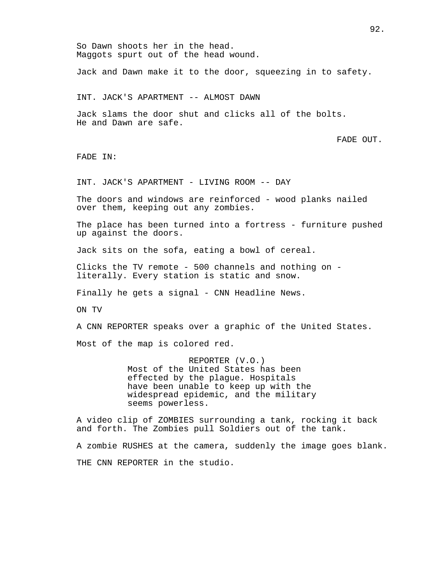So Dawn shoots her in the head. Maggots spurt out of the head wound. Jack and Dawn make it to the door, squeezing in to safety. INT. JACK'S APARTMENT -- ALMOST DAWN Jack slams the door shut and clicks all of the bolts. He and Dawn are safe. FADE OUT. FADE IN: INT. JACK'S APARTMENT - LIVING ROOM -- DAY The doors and windows are reinforced - wood planks nailed over them, keeping out any zombies. The place has been turned into a fortress - furniture pushed up against the doors. Jack sits on the sofa, eating a bowl of cereal. Clicks the TV remote - 500 channels and nothing on literally. Every station is static and snow. Finally he gets a signal - CNN Headline News. ON TV A CNN REPORTER speaks over a graphic of the United States. Most of the map is colored red. REPORTER (V.O.) Most of the United States has been effected by the plague. Hospitals have been unable to keep up with the widespread epidemic, and the military seems powerless. A video clip of ZOMBIES surrounding a tank, rocking it back and forth. The Zombies pull Soldiers out of the tank. A zombie RUSHES at the camera, suddenly the image goes blank. THE CNN REPORTER in the studio.

92.